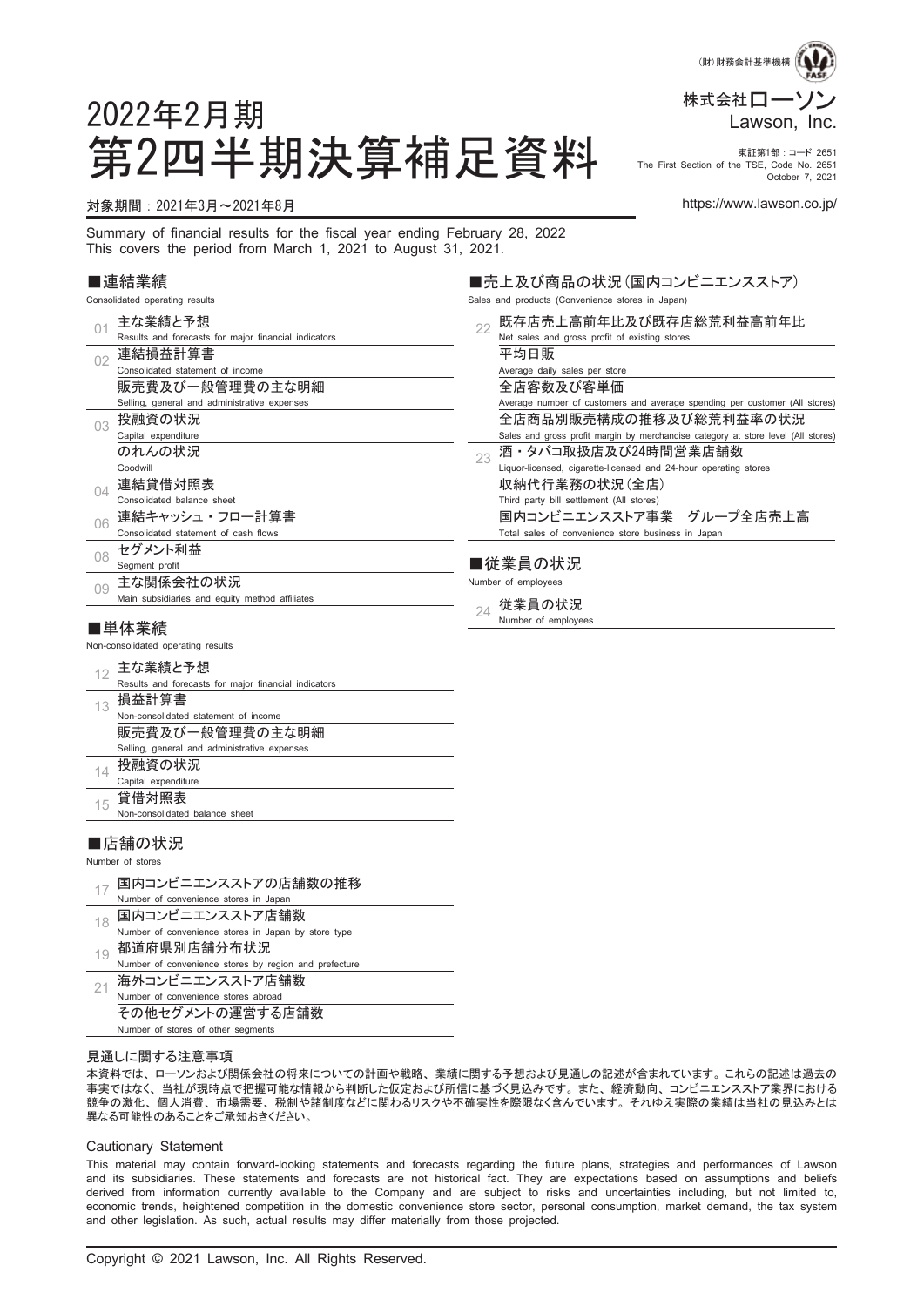

October 7, 2021

The First Section of the TSE, Code No. 2651

# 2022年2月期 第2四半期決算補足資料 Fire First Section of the TSE, Code no. 2651

#### 対象期間:2021年3月~2021年8月 https://www.lawson.co.jp/

Summary of financial results for the fiscal year ending February 28, 2022 This covers the period from March 1, 2021 to August 31, 2021.

#### ■連結業績

Consolidated operating results

|          | 主な業績と予想                                              |    | 既存店売上高前年                    |
|----------|------------------------------------------------------|----|-----------------------------|
| 01       |                                                      | 22 |                             |
|          | Results and forecasts for major financial indicators |    | Net sales and gross prof    |
| 02       | 連結損益計算書                                              |    | 平均日販                        |
|          | Consolidated statement of income                     |    | Average daily sales per     |
|          | 販売費及び一般管理費の主な明細                                      |    | 全店客数及び客単                    |
|          | Selling, general and administrative expenses         |    | Average number of custo     |
| 03       | 投融資の状況                                               |    | 全店商品別販売構                    |
|          | Capital expenditure                                  |    | Sales and gross profit ma   |
|          | のれんの状況                                               | 23 | 酒・タバコ取扱店』                   |
|          | Goodwill                                             |    | Liquor-licensed, cigarette- |
| $\Omega$ | 連結貸借対照表                                              |    | 収納代行業務の状                    |
|          | Consolidated balance sheet                           |    | Third party bill settlement |
|          | 連結キャッシュ・フロー計算書                                       |    | 国内コンビニエンス                   |
| 06       | Consolidated statement of cash flows                 |    | Total sales of conveniend   |
|          | セグメント利益                                              |    |                             |
| 08       | Segment profit                                       |    | ■従業員の状況                     |
|          | 主な関係会社の状況                                            |    | Number of employees         |
| 0.9      | Main subsidiaries and equity method affiliates       |    |                             |
|          |                                                      | 24 | 従業員の状況                      |
|          | ■単体業績                                                |    | Number of employees         |
|          | Non-consolidated operating results                   |    |                             |
|          | 主な業績と予想                                              |    |                             |
| 12       | Results and forecasts for major financial indicators |    |                             |
|          | 損益計算書                                                |    |                             |
| 13       | Non-consolidated statement of income                 |    |                             |
|          | 販売費及び一般管理費の主な明細                                      |    |                             |
|          | Selling, general and administrative expenses         |    |                             |
|          | 投融資の状況                                               |    |                             |
| 14       | Capital expenditure                                  |    |                             |
|          | 貸借対照表                                                |    |                             |
| 15       | Non-consolidated balance sheet                       |    |                             |
|          |                                                      |    |                             |

#### ■店舗の状況

Number of stores

- 17 国内コンビニエンスストアの店舗数の推移 Number of convenience stores in Japan <sub>18</sub> 国内コンビニエンスストア店舗数
- Number of convenience stores in Japan by store type  $_{19}$  都道府県別店舗分布状況 Number of convenience stores by region and prefecture
- $_{21}$ 海外コンビニエンスストア店舗数 Number of convenience stores abroad その他セグメントの運営する店舗数 Number of stores of other segments

#### 見通しに関する注意事項

本資料では、 ローソンおよび関係会社の将来についての計画や戦略、 業績に関する予想および見通しの記述が含まれています。 これらの記述は過去の 事実ではなく、 当社が現時点で把握可能な情報から判断した仮定および所信に基づく見込みです。 また、 経済動向、 コンビニエンスストア業界における 競争の激化、 個人消費、 市場需要、 税制や諸制度などに関わるリスクや不確実性を際限なく含んでいます。 それゆえ実際の業績は当社の見込みとは 異なる可能性のあることをご承知おきください。

#### Cautionary Statement

This material may contain forward-looking statements and forecasts regarding the future plans, strategies and performances of Lawson and its subsidiaries. These statements and forecasts are not historical fact. They are expectations based on assumptions and beliefs derived from information currently available to the Company and are subject to risks and uncertainties including, but not limited to, economic trends, heightened competition in the domestic convenience store sector, personal consumption, market demand, the tax system and other legislation. As such, actual results may differ materially from those projected.

## ■売上及び商品の状況(国内コンビニエンスストア)

Sales and products (Convenience stores in Japan)

<sup>22</sup> 既存店売上高前年比及び既存店総荒利益高前年比 fit of existing stores store 红価 omers and average spending per customer (All stores) 全店商品別販売構成の推移及び総荒利益率の状況 argin by merchandise category at store level (All stores) 及び24時間営業店舗数 licensed and 24-hour operating stores (況(全店) t (All stores) 国内コンビニエンスストア事業 グループ全店売上高 ce store business in Japan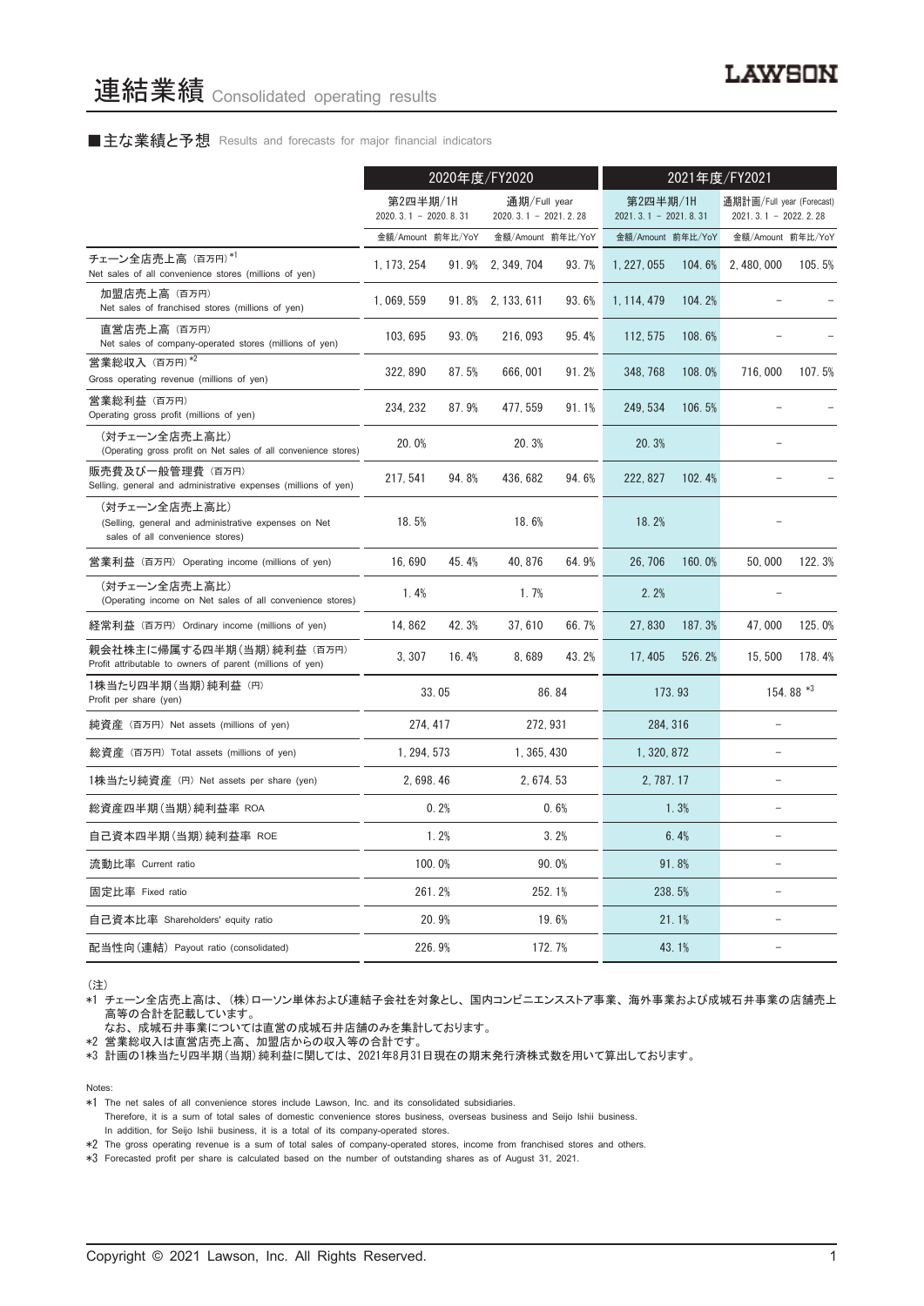#### ■主な業績と予想 Results and forecasts for major financial indicators

|                                                                                                           | 2020年度/FY2020                      |        |                                        | 2021年度/FY2021 |                                    |        |                                                   |           |
|-----------------------------------------------------------------------------------------------------------|------------------------------------|--------|----------------------------------------|---------------|------------------------------------|--------|---------------------------------------------------|-----------|
|                                                                                                           | 第2四半期/1H<br>$2020.3.1 - 2020.8.31$ |        | 通期/Full year<br>$2020.3.1 - 2021.2.28$ |               | 第2四半期/1H<br>$2021.3.1 - 2021.8.31$ |        | 通期計画/Full year (Forecast)<br>2021.3.1 - 2022.2.28 |           |
|                                                                                                           | 金額/Amount 前年比/YoY                  |        | 金額/Amount 前年比/YoY                      |               | 金額/Amount 前年比/YoY                  |        | 金額/Amount 前年比/YoY                                 |           |
| チェーン全店売上高 (百万円)*1<br>Net sales of all convenience stores (millions of yen)                                | 1, 173, 254                        | 91.9%  | 2, 349, 704                            | 93.7%         | 1, 227, 055                        | 104.6% | 2, 480, 000                                       | 105.5%    |
| 加盟店売上高(百万円)<br>Net sales of franchised stores (millions of yen)                                           | 1, 069, 559                        |        | 91.8% 2, 133, 611                      | 93.6%         | 1, 114, 479                        | 104.2% |                                                   |           |
| 直営店売上高(百万円)<br>Net sales of company-operated stores (millions of yen)                                     | 103, 695                           | 93.0%  | 216, 093                               | 95.4%         | 112, 575                           | 108.6% |                                                   |           |
| 営業総収入 (百万円)*2<br>Gross operating revenue (millions of yen)                                                | 322, 890                           | 87.5%  | 666, 001                               | 91.2%         | 348.768                            | 108.0% | 716,000                                           | 107.5%    |
| 営業総利益 (百万円)<br>Operating gross profit (millions of yen)                                                   | 234, 232                           | 87.9%  | 477, 559                               | 91.1%         | 249, 534                           | 106.5% |                                                   |           |
| (対チェーン全店売上高比)<br>(Operating gross profit on Net sales of all convenience stores)                          | 20.0%                              |        | 20.3%                                  |               | 20.3%                              |        |                                                   |           |
| 販売費及び一般管理費(百万円)<br>Selling, general and administrative expenses (millions of yen)                         | 217, 541                           | 94.8%  | 436, 682                               | 94.6%         | 222, 827                           | 102.4% |                                                   |           |
| (対チェーン全店売上高比)<br>(Selling, general and administrative expenses on Net<br>sales of all convenience stores) | 18.5%                              |        | 18.6%                                  |               | 18.2%                              |        |                                                   |           |
| 営業利益 (百万円) Operating income (millions of yen)                                                             | 16.690                             | 45.4%  | 40.876                                 | 64.9%         | 26.706                             | 160.0% | 50.000                                            | 122.3%    |
| (対チェーン全店売上高比)<br>(Operating income on Net sales of all convenience stores)                                | 1.4%                               |        | 1.7%                                   |               | 2.2%                               |        |                                                   |           |
| 経常利益(百万円)Ordinary income (millions of yen)                                                                | 14.862                             | 42.3%  | 37,610                                 | 66.7%         | 27.830                             | 187.3% | 47,000                                            | 125.0%    |
| 親会社株主に帰属する四半期(当期)純利益 (百万円)<br>Profit attributable to owners of parent (millions of yen)                   | 3, 307                             | 16.4%  | 8,689                                  | 43.2%         | 17, 405                            | 526.2% | 15,500                                            | 178.4%    |
| 1株当たり四半期 (当期) 純利益 (円)<br>Profit per share (yen)                                                           |                                    | 33.05  |                                        | 86.84         |                                    | 173.93 |                                                   | 154.88 *3 |
| 純資産 (百万円) Net assets (millions of yen)                                                                    | 274, 417                           |        |                                        | 272, 931      | 284, 316                           |        |                                                   |           |
| 総資産 (百万円) Total assets (millions of yen)                                                                  | 1, 294, 573                        |        | 1, 365, 430                            |               | 1, 320, 872                        |        |                                                   |           |
| 1株当たり純資産 (円) Net assets per share (yen)                                                                   | 2, 698, 46                         |        | 2, 674, 53                             |               | 2, 787, 17                         |        |                                                   |           |
| 総資産四半期(当期) 純利益率 ROA                                                                                       |                                    | 0.2%   |                                        | 0.6%          |                                    | 1.3%   |                                                   |           |
| 自己資本四半期(当期) 純利益率 ROE                                                                                      |                                    | 1.2%   |                                        | 3.2%          |                                    | 6.4%   |                                                   |           |
| 流動比率 Current ratio                                                                                        |                                    | 100.0% |                                        | 90.0%         |                                    | 91.8%  |                                                   |           |
| 固定比率 Fixed ratio                                                                                          |                                    | 261.2% |                                        | 252.1%        |                                    | 238.5% | $\overline{a}$                                    |           |
| 自己資本比率 Shareholders' equity ratio                                                                         |                                    | 20.9%  |                                        | 19.6%         |                                    | 21.1%  |                                                   |           |
| 配当性向(連結) Payout ratio (consolidated)                                                                      |                                    | 226.9% |                                        | 172.7%        |                                    | 43.1%  |                                                   |           |

(注)

\*1 チェーン全店売上高は、 (株)ローソン単体および連結子会社を対象とし、 国内コンビニエンスストア事業、 海外事業および成城石井事業の店舗売上 高等の合計を記載しています。

なお、 成城石井事業については直営の成城石井店舗のみを集計しております。

\*2 営業総収入は直営店売上高、 加盟店からの収入等の合計です。

\*3 計画の1株当たり四半期(当期)純利益に関しては、 2021年8月31日現在の期末発行済株式数を用いて算出しております。

Notes:

\*1 The net sales of all convenience stores include Lawson, Inc. and its consolidated subsidiaries.

Therefore, it is a sum of total sales of domestic convenience stores business, overseas business and Seijo Ishii business. In addition, for Seijo Ishii business, it is a total of its company-operated stores.

\*2 The gross operating revenue is a sum of total sales of company-operated stores, income from franchised stores and others.

\*3 Forecasted profit per share is calculated based on the number of outstanding shares as of August 31, 2021.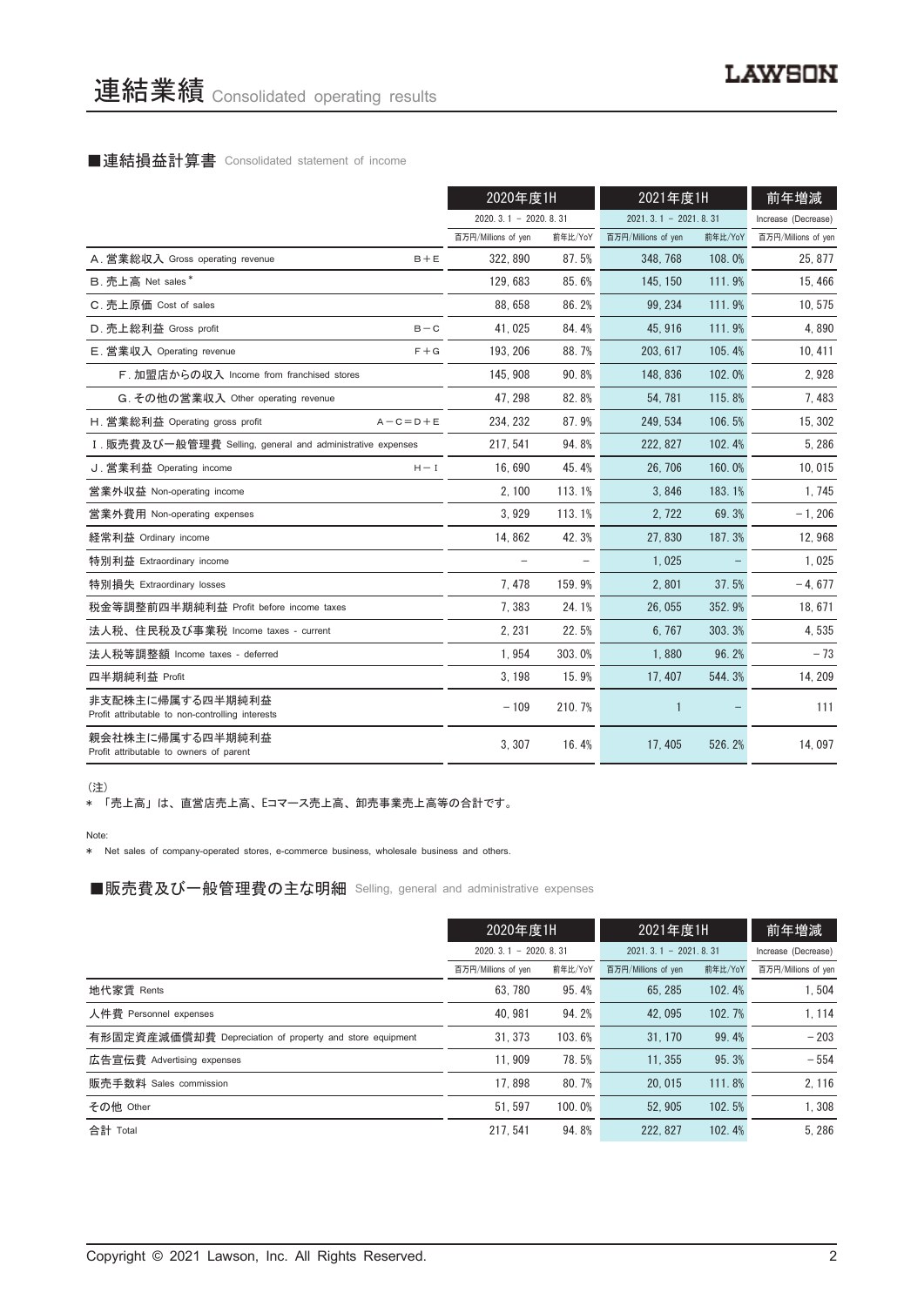#### ■連結損益計算書 Consolidated statement of income

|                                                                      | 2020年度1H               |         | 2021年度1H               |         | 前年増減                |
|----------------------------------------------------------------------|------------------------|---------|------------------------|---------|---------------------|
|                                                                      | $2020.3.1 - 2020.8.31$ |         | $2021.3.1 - 2021.8.31$ |         | Increase (Decrease) |
|                                                                      | 百万円/Millions of yen    | 前年比/YoY | 百万円/Millions of yen    | 前年比/YoY | 百万円/Millions of yen |
| A. 営業総収入 Gross operating revenue<br>$B + E$                          | 322, 890               | 87.5%   | 348, 768               | 108.0%  | 25, 877             |
| B. 売上高 Net sales*                                                    | 129,683                | 85.6%   | 145, 150               | 111.9%  | 15,466              |
| C. 売上原価 Cost of sales                                                | 88.658                 | 86.2%   | 99.234                 | 111.9%  | 10, 575             |
| D. 売上総利益 Gross profit<br>$B - C$                                     | 41,025                 | 84.4%   | 45.916                 | 111.9%  | 4,890               |
| E. 営業収入 Operating revenue<br>$F + G$                                 | 193, 206               | 88.7%   | 203, 617               | 105.4%  | 10, 411             |
| F. 加盟店からの収入 Income from franchised stores                            | 145.908                | 90.8%   | 148, 836               | 102.0%  | 2,928               |
| G. その他の営業収入 Other operating revenue                                  | 47.298                 | 82.8%   | 54.781                 | 115.8%  | 7,483               |
| H. 営業総利益 Operating gross profit<br>$A - C = D + E$                   | 234, 232               | 87.9%   | 249, 534               | 106.5%  | 15, 302             |
| I. 販売費及び一般管理費 Selling, general and administrative expenses           | 217, 541               | 94.8%   | 222, 827               | 102.4%  | 5,286               |
| J. 営業利益 Operating income<br>$H - I$                                  | 16.690                 | 45.4%   | 26.706                 | 160.0%  | 10,015              |
| 営業外収益 Non-operating income                                           | 2.100                  | 113.1%  | 3.846                  | 183.1%  | 1,745               |
| 営業外費用 Non-operating expenses                                         | 3,929                  | 113.1%  | 2,722                  | 69.3%   | $-1, 206$           |
| 経常利益 Ordinary income                                                 | 14.862                 | 42.3%   | 27.830                 | 187.3%  | 12,968              |
| 特別利益 Extraordinary income                                            | $\equiv$               |         | 1,025                  |         | 1,025               |
| 特別損失 Extraordinary losses                                            | 7,478                  | 159.9%  | 2,801                  | 37.5%   | $-4,677$            |
| 税金等調整前四半期純利益 Profit before income taxes                              | 7,383                  | 24.1%   | 26,055                 | 352.9%  | 18, 671             |
| 法人税、住民税及び事業税 Income taxes - current                                  | 2, 231                 | 22.5%   | 6.767                  | 303.3%  | 4,535               |
| 法人税等調整額 Income taxes - deferred                                      | 1,954                  | 303.0%  | 1,880                  | 96.2%   | $-73$               |
| 四半期純利益 Profit                                                        | 3, 198                 | 15.9%   | 17, 407                | 544.3%  | 14, 209             |
| 非支配株主に帰属する四半期純利益<br>Profit attributable to non-controlling interests | $-109$                 | 210.7%  | 1                      |         | 111                 |
| 親会社株主に帰属する四半期純利益<br>Profit attributable to owners of parent          | 3,307                  | 16.4%   | 17, 405                | 526.2%  | 14,097              |

(注)

\* 「売上高」 は、 直営店売上高、 Eコマース売上高、 卸売事業売上高等の合計です。

Note:

\* Net sales of company-operated stores, e-commerce business, wholesale business and others.

■販売費及び一般管理費の主な明細 Selling, general and administrative expenses

|                                                          | 2020年度1H                   |         | 2021年度1H               |         | 前年増減                |
|----------------------------------------------------------|----------------------------|---------|------------------------|---------|---------------------|
|                                                          | $2020, 3, 1 - 2020, 8, 31$ |         | $2021.3.1 - 2021.8.31$ |         | Increase (Decrease) |
|                                                          | 百万円/Millions of yen        | 前年比/YoY | 百万円/Millions of yen    | 前年比/YoY | 百万円/Millions of yen |
| 地代家賃 Rents                                               | 63.780                     | 95.4%   | 65.285                 | 102.4%  | 1.504               |
| 人件費 Personnel expenses                                   | 40.981                     | 94.2%   | 42.095                 | 102.7%  | 1, 114              |
| 有形固定資産減価償却費 Depreciation of property and store equipment | 31.373                     | 103.6%  | 31, 170                | 99.4%   | $-203$              |
| 広告宣伝費 Advertising expenses                               | 11.909                     | 78.5%   | 11.355                 | 95.3%   | $-554$              |
| 販売手数料 Sales commission                                   | 17.898                     | 80.7%   | 20.015                 | 111.8%  | 2.116               |
| その他 Other                                                | 51.597                     | 100.0%  | 52.905                 | 102.5%  | 1.308               |
| 合計 Total                                                 | 217.541                    | 94.8%   | 222.827                | 102.4%  | 5.286               |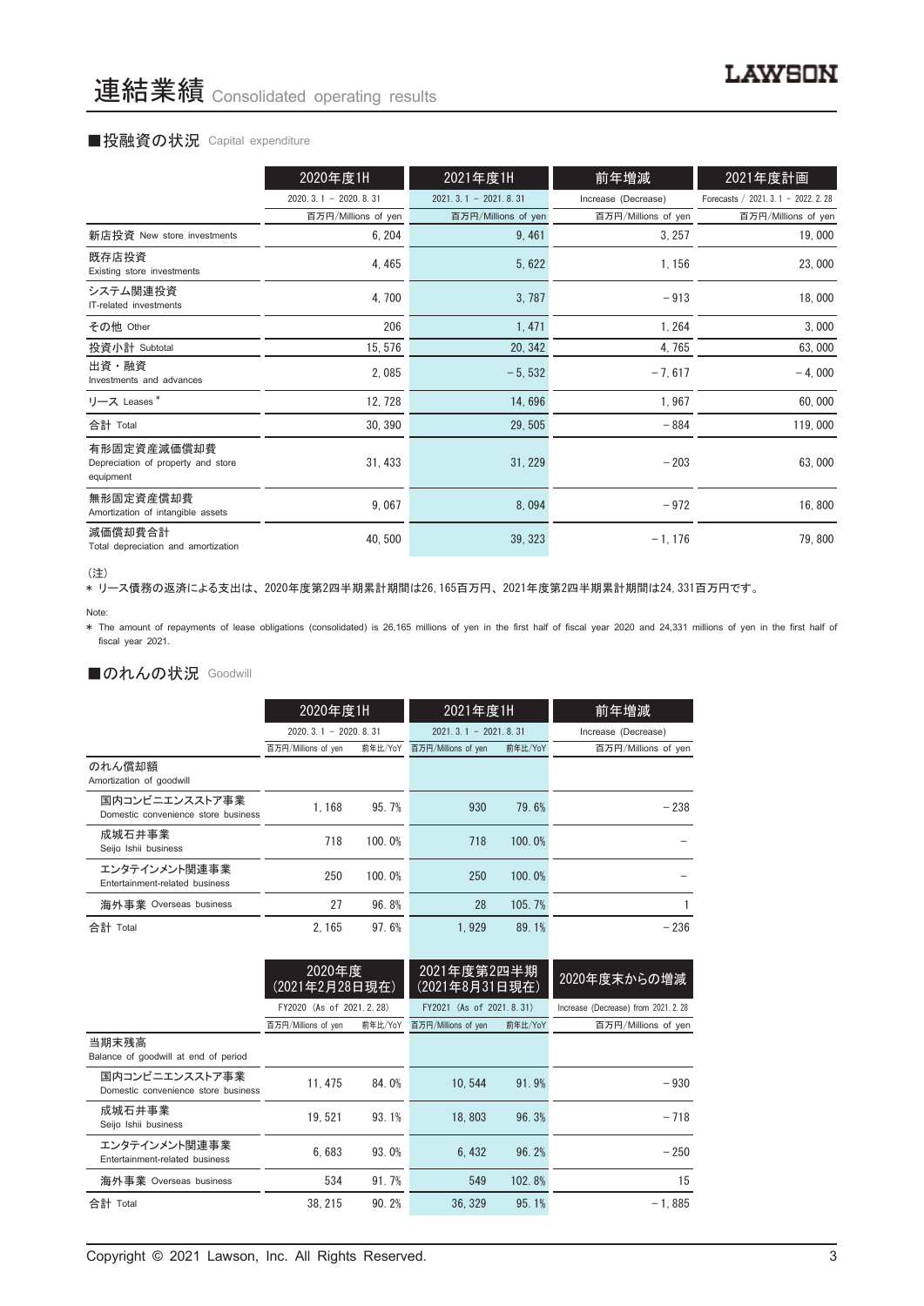#### ■投融資の状況 Capital expenditure

|                                                                | 2020年度1H               | 2021年度1H               | 前年増減                | 2021年度計画                             |
|----------------------------------------------------------------|------------------------|------------------------|---------------------|--------------------------------------|
|                                                                | $2020.3.1 - 2020.8.31$ | $2021.3.1 - 2021.8.31$ | Increase (Decrease) | Forecasts / 2021. 3. 1 - 2022. 2. 28 |
|                                                                | 百万円/Millions of yen    | 百万円/Millions of yen    | 百万円/Millions of yen | 百万円/Millions of yen                  |
| 新店投資 New store investments                                     | 6, 204                 | 9,461                  | 3, 257              | 19,000                               |
| 既存店投資<br>Existing store investments                            | 4, 465                 | 5, 622                 | 1, 156              | 23,000                               |
| システム関連投資<br>IT-related investments                             | 4,700                  | 3,787                  | $-913$              | 18,000                               |
| その他 Other                                                      | 206                    | 1, 471                 | 1, 264              | 3,000                                |
| 投資小計 Subtotal                                                  | 15, 576                | 20, 342                | 4,765               | 63,000                               |
| 出資・融資<br>Investments and advances                              | 2,085                  | $-5,532$               | $-7,617$            | $-4,000$                             |
| リース Leases <sup>*</sup>                                        | 12, 728                | 14,696                 | 1,967               | 60,000                               |
| 合計 Total                                                       | 30, 390                | 29,505                 | $-884$              | 119,000                              |
| 有形固定資産減価償却費<br>Depreciation of property and store<br>equipment | 31, 433                | 31, 229                | $-203$              | 63,000                               |
| 無形固定資産償却費<br>Amortization of intangible assets                 | 9,067                  | 8,094                  | $-972$              | 16,800                               |
| 減価償却費合計<br>Total depreciation and amortization                 | 40, 500                | 39, 323                | $-1, 176$           | 79,800                               |

<sup>(</sup>注)

、----<br>\* リース債務の返済による支出は、2020年度第2四半期累計期間は26,165百万円、2021年度第2四半期累計期間は24,331百万円です。

\* The amount of repayments of lease obligations (consolidated) is 26,165 millions of yen in the first half of fiscal year 2020 and 24,331 millions of yen in the first half of fiscal year 2021.

### ■のれんの状況 Goodwill

|                                                       | 2020年度1H               |         | 2021年度1H               |         | 前年増減                |  |
|-------------------------------------------------------|------------------------|---------|------------------------|---------|---------------------|--|
|                                                       | $2020.3.1 - 2020.8.31$ |         | $2021.3.1 - 2021.8.31$ |         | Increase (Decrease) |  |
|                                                       | 百万円/Millions of yen    | 前年比/YoY | 百万円/Millions of yen    | 前年比/YoY | 百万円/Millions of yen |  |
| のれん償却額<br>Amortization of goodwill                    |                        |         |                        |         |                     |  |
| 国内コンビニエンスストア事業<br>Domestic convenience store business | 1.168                  | 95.7%   | 930                    | 79.6%   | $-238$              |  |
| 成城石井事業<br>Seijo Ishii business                        | 718                    | 100.0%  | 718                    | 100.0%  |                     |  |
| エンタテインメント関連事業<br>Entertainment-related business       | 250                    | 100.0%  | 250                    | 100.0%  |                     |  |
| 海外事業 Overseas business                                | 27                     | 96.8%   | 28                     | 105.7%  |                     |  |
| 合計 Total                                              | 2.165                  | 97.6%   | 1.929                  | 89.1%   | $-236$              |  |

|                                                       | 2020年度<br>(2021年2月28日現在) |         | 2021年度第2四半期<br>(2021年8月31日現在) |         | 2020年度末からの増減                         |  |
|-------------------------------------------------------|--------------------------|---------|-------------------------------|---------|--------------------------------------|--|
|                                                       | FY2020 (As of 2021.2.28) |         | FY2021 (As of 2021.8.31)      |         | Increase (Decrease) from 2021. 2. 28 |  |
|                                                       | 百万円/Millions of yen      | 前年比/YoY | 百万円/Millions of yen           | 前年比/YoY | 百万円/Millions of yen                  |  |
| 当期末残高<br>Balance of goodwill at end of period         |                          |         |                               |         |                                      |  |
| 国内コンビニエンスストア事業<br>Domestic convenience store business | 11.475                   | 84.0%   | 10.544                        | 91.9%   | $-930$                               |  |
| 成城石井事業<br>Seijo Ishii business                        | 19.521                   | 93.1%   | 18.803                        | 96.3%   | $-718$                               |  |
| エンタテインメント関連事業<br>Entertainment-related business       | 6.683                    | 93.0%   | 6.432                         | 96.2%   | $-250$                               |  |
| 海外事業 Overseas business                                | 534                      | 91.7%   | 549                           | 102.8%  | 15                                   |  |
| 合計 Total                                              | 38.215                   | 90.2%   | 36.329                        | 95.1%   | $-1.885$                             |  |

Note: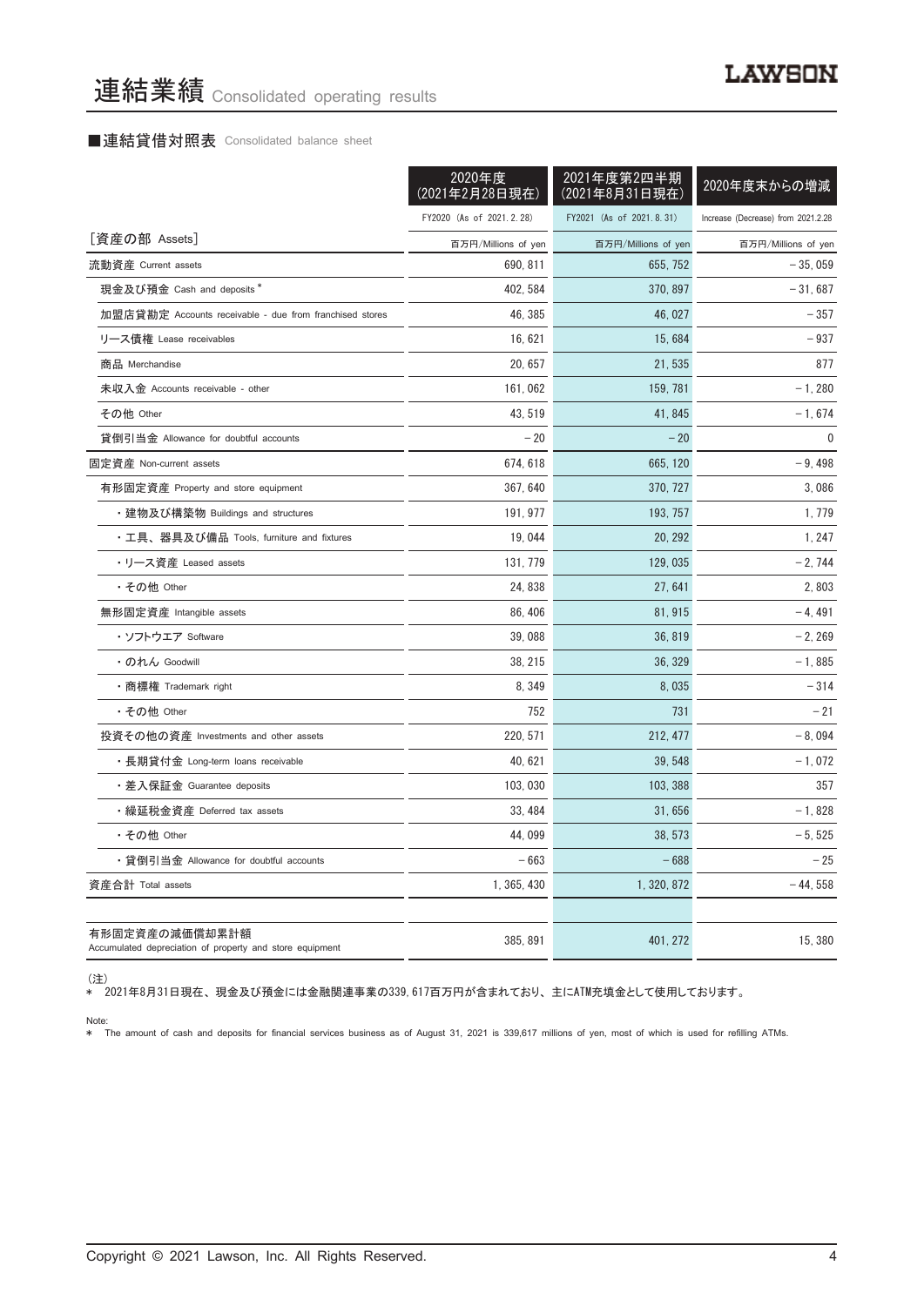#### ■連結貸借対照表 Consolidated balance sheet

|                                                                            | 2020年度<br>(2021年2月28日現在) | 2021年度第2四半期<br>(2021年8月31日現在) | 2020年度末からの増減                       |
|----------------------------------------------------------------------------|--------------------------|-------------------------------|------------------------------------|
|                                                                            | FY2020 (As of 2021.2.28) | FY2021 (As of 2021.8.31)      | Increase (Decrease) from 2021.2.28 |
| [資産の部 Assets]                                                              | 百万円/Millions of yen      | 百万円/Millions of yen           | 百万円/Millions of yen                |
| 流動資産 Current assets                                                        | 690.811                  | 655.752                       | $-35.059$                          |
| 現金及び預金 Cash and deposits*                                                  | 402, 584                 | 370, 897                      | $-31,687$                          |
| 加盟店貸勘定 Accounts receivable - due from franchised stores                    | 46, 385                  | 46, 027                       | $-357$                             |
| リース債権 Lease receivables                                                    | 16, 621                  | 15,684                        | $-937$                             |
| 商品 Merchandise                                                             | 20, 657                  | 21,535                        | 877                                |
| 未収入金 Accounts receivable - other                                           | 161, 062                 | 159, 781                      | $-1,280$                           |
| その他 Other                                                                  | 43, 519                  | 41, 845                       | $-1,674$                           |
| 貸倒引当金 Allowance for doubtful accounts                                      | $-20$                    | $-20$                         | $\mathbf{0}$                       |
| 固定資産 Non-current assets                                                    | 674, 618                 | 665, 120                      | $-9,498$                           |
| 有形固定資産 Property and store equipment                                        | 367, 640                 | 370, 727                      | 3,086                              |
| ・建物及び構築物 Buildings and structures                                          | 191, 977                 | 193, 757                      | 1, 779                             |
| ・工具、器具及び備品 Tools, furniture and fixtures                                   | 19,044                   | 20, 292                       | 1, 247                             |
| ・リース資産 Leased assets                                                       | 131, 779                 | 129, 035                      | $-2,744$                           |
| ・その他 Other                                                                 | 24, 838                  | 27, 641                       | 2,803                              |
| 無形固定資産 Intangible assets                                                   | 86, 406                  | 81, 915                       | $-4,491$                           |
| ・ソフトウエア Software                                                           | 39,088                   | 36, 819                       | $-2, 269$                          |
| ・のれん Goodwill                                                              | 38, 215                  | 36, 329                       | $-1,885$                           |
| •商標権 Trademark right                                                       | 8, 349                   | 8,035                         | $-314$                             |
| ・その他 Other                                                                 | 752                      | 731                           | $-21$                              |
| 投資その他の資産 Investments and other assets                                      | 220, 571                 | 212, 477                      | $-8,094$                           |
| ・長期貸付金 Long-term loans receivable                                          | 40, 621                  | 39, 548                       | $-1,072$                           |
| ・差入保証金 Guarantee deposits                                                  | 103, 030                 | 103, 388                      | 357                                |
| ・繰延税金資産 Deferred tax assets                                                | 33, 484                  | 31,656                        | $-1,828$                           |
| ・その他 Other                                                                 | 44,099                   | 38, 573                       | $-5,525$                           |
| ・貸倒引当金 Allowance for doubtful accounts                                     | $-663$                   | $-688$                        | $-25$                              |
| 資産合計 Total assets                                                          | 1, 365, 430              | 1, 320, 872                   | $-44,558$                          |
|                                                                            |                          |                               |                                    |
| 有形固定資産の減価償却累計額<br>Accumulated depreciation of property and store equipment | 385, 891                 | 401, 272                      | 15, 380                            |

(注)

\* 2021年8月31日現在、 現金及び預金には金融関連事業の339,617百万円が含まれており、 主にATM充填金として使用しております。

Note: \* The amount of cash and deposits for financial services business as of August 31, 2021 is 339,617 millions of yen, most of which is used for refilling ATMs.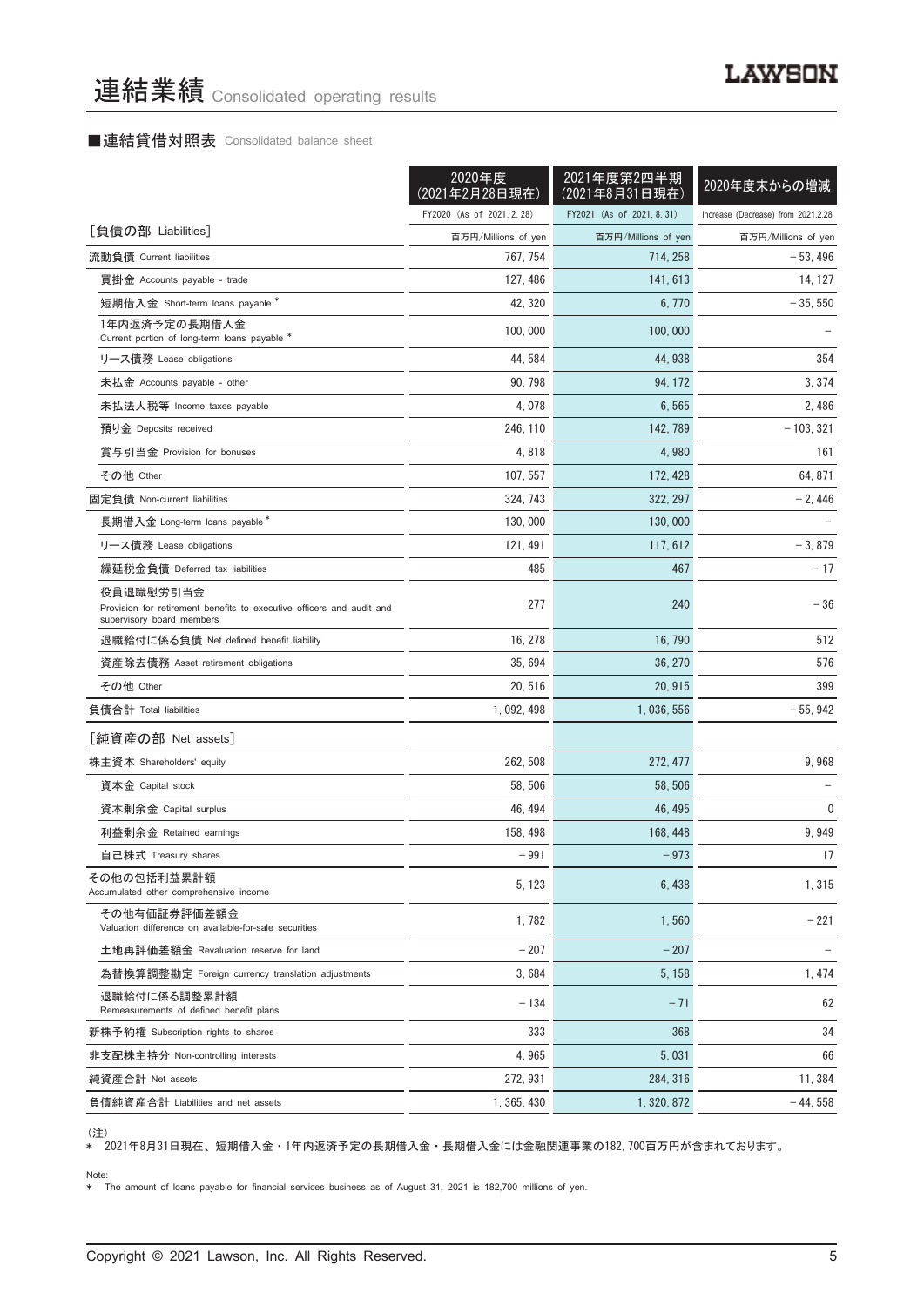## ■連結貸借対照表 Consolidated balance sheet

|                                                                                                                 | 2020年度<br>(2021年2月28日現在) | 2021年度第2四半期<br>(2021年8月31日現在) | 2020年度末からの増減                       |
|-----------------------------------------------------------------------------------------------------------------|--------------------------|-------------------------------|------------------------------------|
|                                                                                                                 | FY2020 (As of 2021.2.28) | FY2021 (As of 2021.8.31)      | Increase (Decrease) from 2021.2.28 |
| [負債の部 Liabilities]                                                                                              | 百万円/Millions of yen      | 百万円/Millions of yen           | 百万円/Millions of yen                |
| 流動負債 Current liabilities                                                                                        | 767.754                  | 714, 258                      | $-53,496$                          |
| 買掛金 Accounts payable - trade                                                                                    | 127, 486                 | 141, 613                      | 14, 127                            |
| 短期借入金 Short-term loans payable *                                                                                | 42, 320                  | 6, 770                        | $-35,550$                          |
| 1年内返済予定の長期借入金<br>Current portion of long-term loans payable *                                                   | 100, 000                 | 100,000                       |                                    |
| リース債務 Lease obligations                                                                                         | 44, 584                  | 44, 938                       | 354                                |
| 未払金 Accounts payable - other                                                                                    | 90, 798                  | 94, 172                       | 3, 374                             |
| 未払法人税等 Income taxes payable                                                                                     | 4,078                    | 6,565                         | 2,486                              |
| 預り金 Deposits received                                                                                           | 246, 110                 | 142, 789                      | $-103, 321$                        |
| 賞与引当金 Provision for bonuses                                                                                     | 4,818                    | 4,980                         | 161                                |
| その他 Other                                                                                                       | 107, 557                 | 172, 428                      | 64, 871                            |
| 固定負債 Non-current liabilities                                                                                    | 324, 743                 | 322, 297                      | $-2,446$                           |
| 長期借入金 Long-term loans payable*                                                                                  | 130,000                  | 130,000                       |                                    |
| リース債務 Lease obligations                                                                                         | 121, 491                 | 117, 612                      | $-3,879$                           |
| 繰延税金負債 Deferred tax liabilities                                                                                 | 485                      | 467                           | $-17$                              |
| 役員退職慰労引当金<br>Provision for retirement benefits to executive officers and audit and<br>supervisory board members | 277                      | 240                           | $-36$                              |
| 退職給付に係る負債 Net defined benefit liability                                                                         | 16, 278                  | 16, 790                       | 512                                |
| 資産除去債務 Asset retirement obligations                                                                             | 35,694                   | 36, 270                       | 576                                |
| その他 Other                                                                                                       | 20, 516                  | 20, 915                       | 399                                |
| 負債合計 Total liabilities                                                                                          | 1, 092, 498              | 1,036,556                     | $-55,942$                          |
| [純資産の部 Net assets]                                                                                              |                          |                               |                                    |
| 株主資本 Shareholders' equity                                                                                       | 262, 508                 | 272, 477                      | 9,968                              |
| 資本金 Capital stock                                                                                               | 58, 506                  | 58, 506                       |                                    |
| 資本剰余金 Capital surplus                                                                                           | 46, 494                  | 46, 495                       | $\mathbf 0$                        |
| 利益剰余金 Retained earnings                                                                                         | 158, 498                 | 168, 448                      | 9,949                              |
| 自己株式 Treasury shares                                                                                            | $-991$                   | $-973$                        | 17                                 |
| その他の包括利益累計額<br>Accumulated other comprehensive income                                                           | 5, 123                   | 6, 438                        | 1,315                              |
| その他有価証券評価差額金<br>Valuation difference on available-for-sale securities                                           | 1,782                    | 1,560                         | $-221$                             |
| 土地再評価差額金 Revaluation reserve for land                                                                           | $-207$                   | $-207$                        |                                    |
| 為替換算調整勘定 Foreign currency translation adjustments                                                               | 3,684                    | 5, 158                        | 1, 474                             |
| 退職給付に係る調整累計額<br>Remeasurements of defined benefit plans                                                         | $-134$                   | $-71$                         | 62                                 |
| 新株予約権 Subscription rights to shares                                                                             | 333                      | 368                           | 34                                 |
| 非支配株主持分 Non-controlling interests                                                                               | 4,965                    | 5,031                         | 66                                 |
| 純資産合計 Net assets                                                                                                | 272, 931                 | 284, 316                      | 11, 384                            |
| 負債純資産合計 Liabilities and net assets                                                                              | 1, 365, 430              | 1, 320, 872                   | $-44,558$                          |

、~~~<br>\* 2021年8月31日現在、短期借入金・1年内返済予定の長期借入金・長期借入金には金融関連事業の182,700百万円が含まれております。

#### Note:

\* The amount of loans payable for financial services business as of August 31, 2021 is 182,700 millions of yen.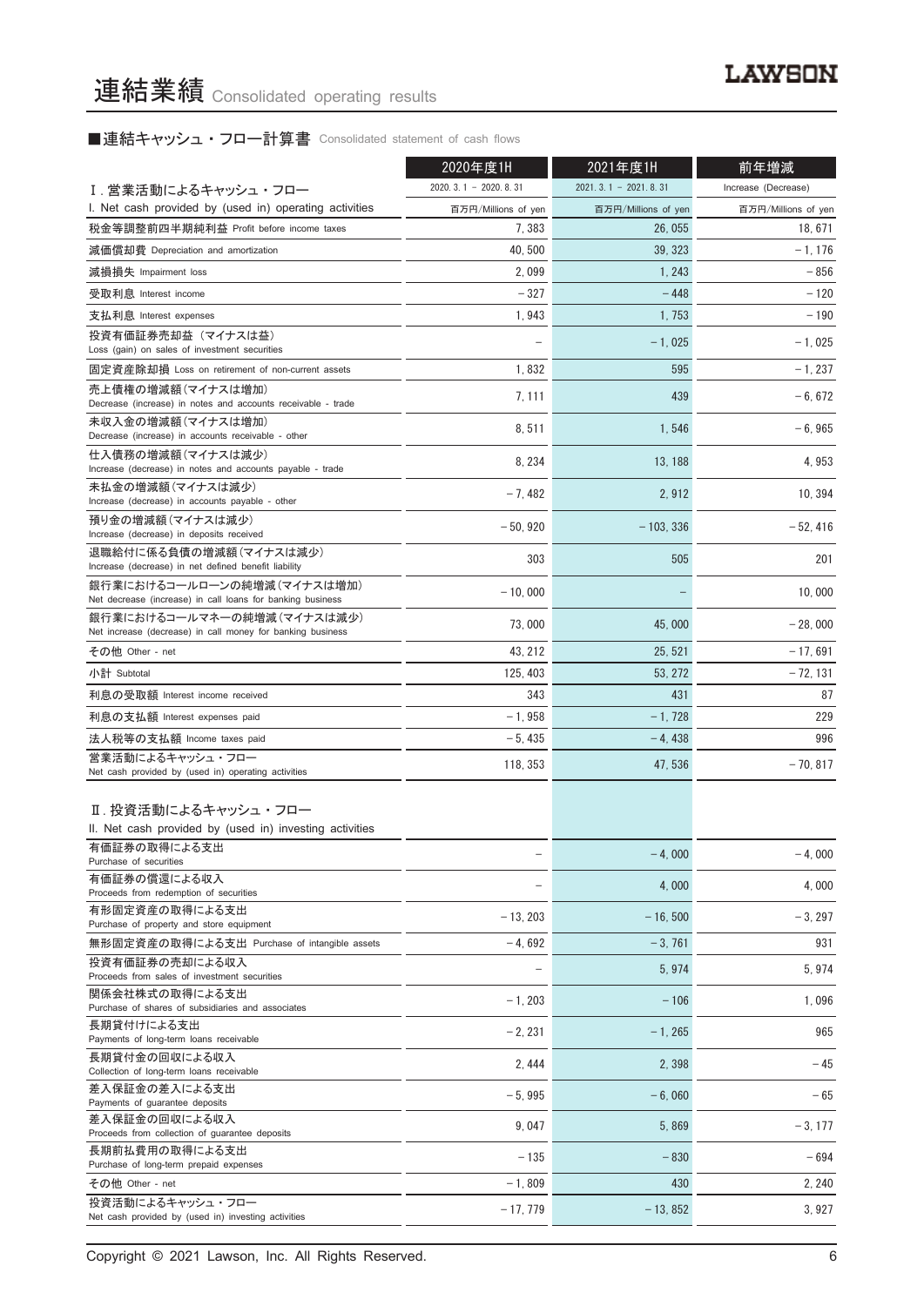## ■連結キャッシュ・フロー計算書 Consolidated statement of cash flows

|                                                                                                   | 2020年度1H               | 2021年度1H               | 前年増減                |  |
|---------------------------------------------------------------------------------------------------|------------------------|------------------------|---------------------|--|
| I. 営業活動によるキャッシュ・フロー                                                                               | $2020.3.1 - 2020.8.31$ | $2021.3.1 - 2021.8.31$ | Increase (Decrease) |  |
| I. Net cash provided by (used in) operating activities                                            | 百万円/Millions of yen    | 百万円/Millions of yen    | 百万円/Millions of yen |  |
| 税金等調整前四半期純利益 Profit before income taxes                                                           | 7,383                  | 26, 055                | 18, 671             |  |
| 減価償却費 Depreciation and amortization                                                               | 40, 500                | 39, 323                | $-1, 176$           |  |
| 減損損失 Impairment loss                                                                              | 2,099                  | 1, 243                 | $-856$              |  |
| 受取利息 Interest income                                                                              | $-327$                 | $-448$                 | $-120$              |  |
| 支払利息 Interest expenses                                                                            | 1,943                  | 1, 753                 | $-190$              |  |
| 投資有価証券売却益(マイナスは益)<br>Loss (gain) on sales of investment securities                                |                        | $-1,025$               | $-1.025$            |  |
| 固定資産除却損 Loss on retirement of non-current assets                                                  | 1,832                  | 595                    | $-1,237$            |  |
| 売上債権の増減額(マイナスは増加)<br>Decrease (increase) in notes and accounts receivable - trade                 | 7, 111                 | 439                    | $-6,672$            |  |
| 未収入金の増減額(マイナスは増加)<br>Decrease (increase) in accounts receivable - other                           | 8,511                  | 1,546                  | $-6,965$            |  |
| 仕入債務の増減額(マイナスは減少)<br>Increase (decrease) in notes and accounts payable - trade                    | 8, 234                 | 13.188                 | 4,953               |  |
| 未払金の増減額(マイナスは減少)<br>Increase (decrease) in accounts payable - other                               | $-7,482$               | 2,912                  | 10, 394             |  |
| 預り金の増減額(マイナスは減少)<br>Increase (decrease) in deposits received                                      | $-50,920$              | $-103, 336$            | $-52, 416$          |  |
| 退職給付に係る負債の増減額(マイナスは減少)<br>Increase (decrease) in net defined benefit liability                    | 303                    | 505                    | 201                 |  |
| 銀行業におけるコールローンの純増減(マイナスは増加)<br>Net decrease (increase) in call loans for banking business          | $-10.000$              |                        | 10.000              |  |
| 銀行業におけるコールマネーの純増減(マイナスは減少)<br>Net increase (decrease) in call money for banking business          | 73,000                 | 45,000                 | $-28,000$           |  |
| その他 Other - net                                                                                   | 43, 212                | 25, 521                | $-17,691$           |  |
| 小計 Subtotal                                                                                       | 125, 403               | 53, 272                | $-72, 131$          |  |
| 利息の受取額 Interest income received                                                                   | 343                    | 431                    | 87                  |  |
| 利息の支払額 Interest expenses paid                                                                     | $-1,958$               | $-1,728$               | 229                 |  |
| 法人税等の支払額 Income taxes paid                                                                        | $-5,435$               | $-4,438$               | 996                 |  |
| 営業活動によるキャッシュ・フロー                                                                                  |                        |                        |                     |  |
| Net cash provided by (used in) operating activities                                               | 118, 353               | 47, 536                | $-70,817$           |  |
| Ⅱ. 投資活動によるキャッシュ・フロー                                                                               |                        |                        |                     |  |
| II. Net cash provided by (used in) investing activities                                           |                        |                        |                     |  |
| 有価証券の取得による支出<br>Purchase of securities                                                            |                        | $-4,000$               | $-4,000$            |  |
| 有価証券の償還による収入<br>Proceeds from redemption of securities                                            |                        | 4,000                  | 4,000               |  |
| 有形固定資産の取得による支出<br>Purchase of property and store equipment                                        | $-13, 203$             | $-16.500$              | $-3, 297$           |  |
| 無形固定資産の取得による支出 Purchase of intangible assets                                                      | $-4.692$               | $-3,761$               | 931                 |  |
| 投資有価証券の売却による収入<br>Proceeds from sales of investment securities                                    |                        | 5,974                  | 5,974               |  |
| 関係会社株式の取得による支出<br>Purchase of shares of subsidiaries and associates                               | $-1, 203$              | $-106$                 | 1,096               |  |
| 長期貸付けによる支出                                                                                        | $-2, 231$              | $-1, 265$              | 965                 |  |
| Payments of long-term loans receivable<br>長期貸付金の回収による収入                                           | 2, 444                 | 2,398                  | $-45$               |  |
| Collection of long-term loans receivable<br>差入保証金の差入による支出                                         | $-5,995$               | $-6,060$               | $-65$               |  |
| Payments of guarantee deposits<br>差入保証金の回収による収入<br>Proceeds from collection of guarantee deposits | 9,047                  | 5,869                  | $-3, 177$           |  |
| 長期前払費用の取得による支出<br>Purchase of long-term prepaid expenses                                          | $-135$                 | $-830$                 | $-694$              |  |
| その他 Other - net                                                                                   | $-1,809$               | 430                    | 2, 240              |  |
| 投資活動によるキャッシュ・フロー                                                                                  |                        |                        |                     |  |
| Net cash provided by (used in) investing activities                                               | $-17,779$              | $-13,852$              | 3,927               |  |

Copyright © 2021 Lawson, Inc. All Rights Reserved. 6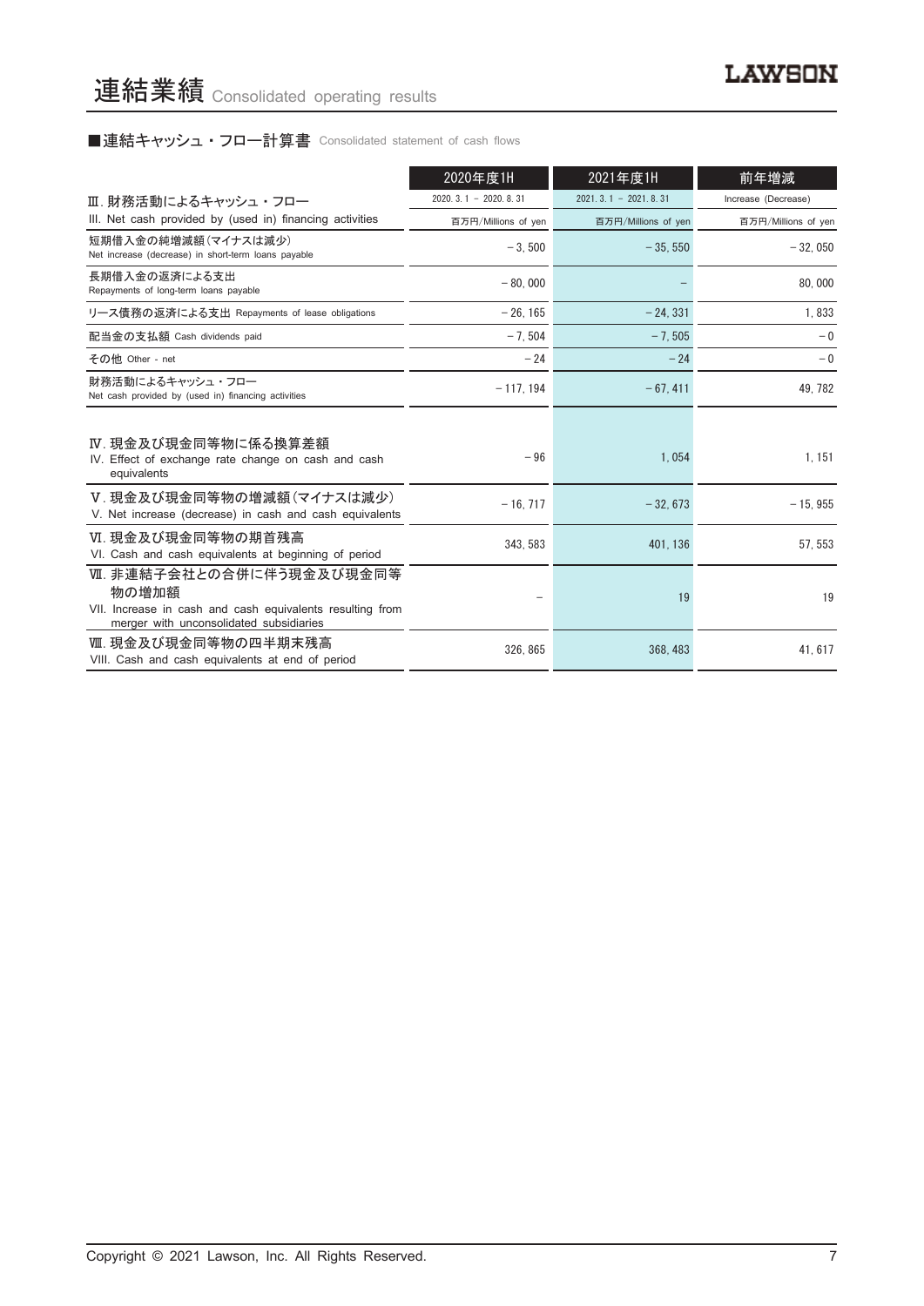## ■連結キャッシュ・フロー計算書 Consolidated statement of cash flows

|                                                                                                                                           | 2020年度1H                   | 2021年度1H               | 前年増減                |
|-------------------------------------------------------------------------------------------------------------------------------------------|----------------------------|------------------------|---------------------|
| Ⅲ. 財務活動によるキャッシュ・フロー                                                                                                                       | $2020, 3, 1 - 2020, 8, 31$ | $2021.3.1 - 2021.8.31$ | Increase (Decrease) |
| III. Net cash provided by (used in) financing activities                                                                                  | 百万円/Millions of yen        | 百万円/Millions of yen    | 百万円/Millions of yen |
| 短期借入金の純増減額(マイナスは減少)<br>Net increase (decrease) in short-term loans payable                                                                | $-3.500$                   | $-35,550$              | $-32,050$           |
| 長期借入金の返済による支出<br>Repayments of long-term loans payable                                                                                    | $-80.000$                  |                        | 80,000              |
| リース債務の返済による支出 Repayments of lease obligations                                                                                             | $-26.165$                  | $-24.331$              | 1,833               |
| 配当金の支払額 Cash dividends paid                                                                                                               | $-7,504$                   | $-7,505$               | $-0$                |
| その他 Other - net                                                                                                                           | $-24$                      | $-24$                  | $-0$                |
| 財務活動によるキャッシュ・フロー<br>Net cash provided by (used in) financing activities                                                                   | $-117, 194$                | $-67, 411$             | 49, 782             |
| Ⅳ. 現金及び現金同等物に係る換算差額<br>IV. Effect of exchange rate change on cash and cash<br>equivalents                                                 | $-96$                      | 1,054                  | 1, 151              |
| V.現金及び現金同等物の増減額(マイナスは減少)<br>V. Net increase (decrease) in cash and cash equivalents                                                       | $-16, 717$                 | $-32,673$              | $-15,955$           |
| VI. 現金及び現金同等物の期首残高<br>VI. Cash and cash equivalents at beginning of period                                                                | 343.583                    | 401.136                | 57.553              |
| Ⅶ. 非連結子会社との合併に伴う現金及び現金同等<br>物の増加額<br>VII. Increase in cash and cash equivalents resulting from<br>merger with unconsolidated subsidiaries |                            | 19                     | 19                  |
| Ⅷ. 現金及び現金同等物の四半期末残高<br>VIII. Cash and cash equivalents at end of period                                                                   | 326, 865                   | 368, 483               | 41, 617             |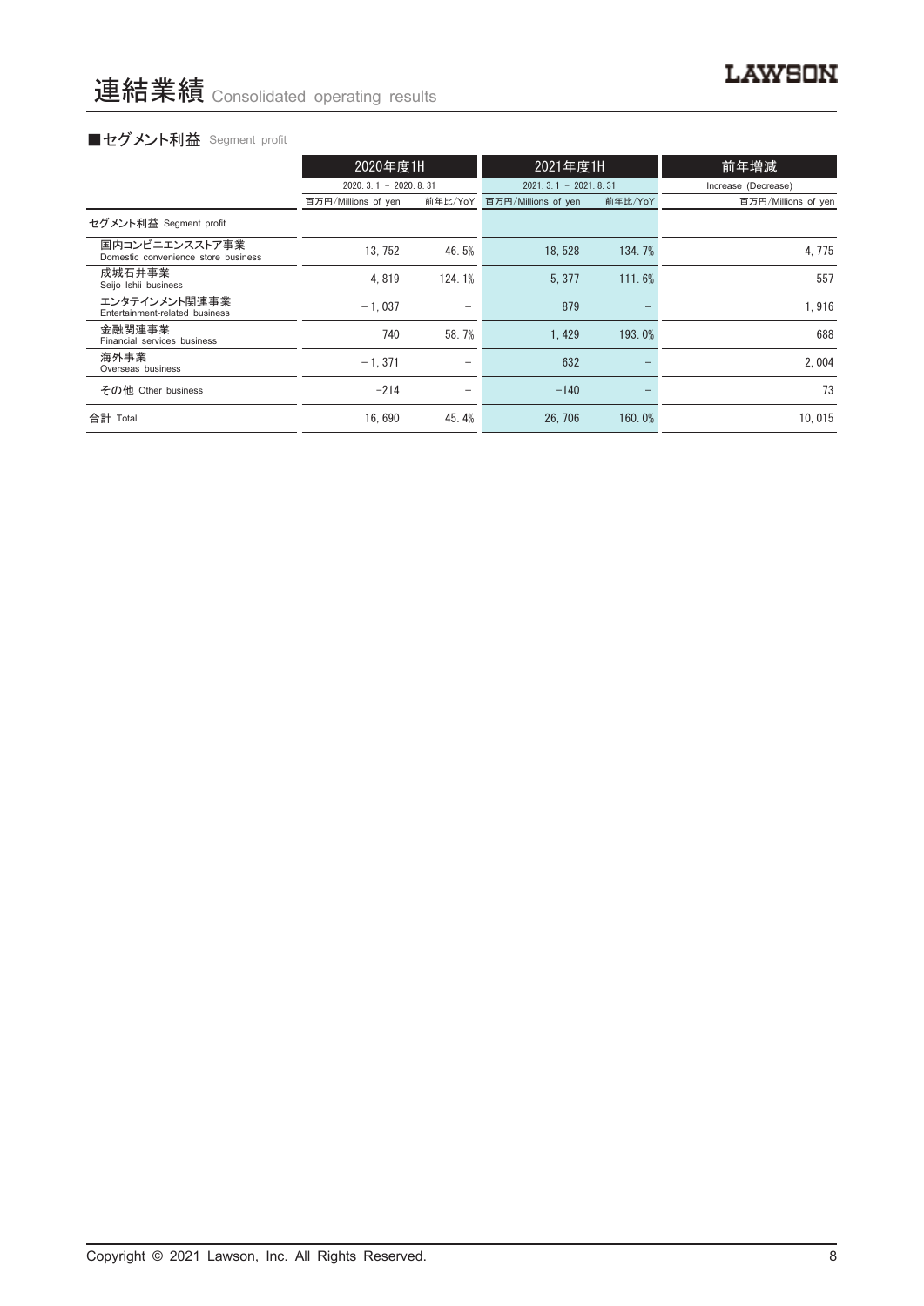## ■セグメント利益 Segment profit

|                                                       | 2020年度1H               |                          | 2021年度1H               |         | 前年増減                |
|-------------------------------------------------------|------------------------|--------------------------|------------------------|---------|---------------------|
|                                                       | $2020.3.1 - 2020.8.31$ |                          | $2021.3.1 - 2021.8.31$ |         | Increase (Decrease) |
|                                                       | 百万円/Millions of yen    | 前年比/YoY                  | 百万円/Millions of yen    | 前年比/YoY | 百万円/Millions of yen |
| セグメント利益 Segment profit                                |                        |                          |                        |         |                     |
| 国内コンビニエンスストア事業<br>Domestic convenience store business | 13, 752                | 46.5%                    | 18.528                 | 134.7%  | 4,775               |
| 成城石井事業<br>Seijo Ishii business                        | 4.819                  | 124.1%                   | 5.377                  | 111.6%  | 557                 |
| エンタテインメント関連事業<br>Entertainment-related business       | $-1.037$               | -                        | 879                    |         | 1,916               |
| 金融関連事業<br>Financial services business                 | 740                    | 58.7%                    | 1.429                  | 193.0%  | 688                 |
| 海外事業<br>Overseas business                             | $-1.371$               | $\overline{\phantom{0}}$ | 632                    |         | 2.004               |
| その他 Other business                                    | $-214$                 | $\overline{\phantom{m}}$ | $-140$                 |         | 73                  |
| 合計 Total                                              | 16.690                 | 45.4%                    | 26, 706                | 160.0%  | 10.015              |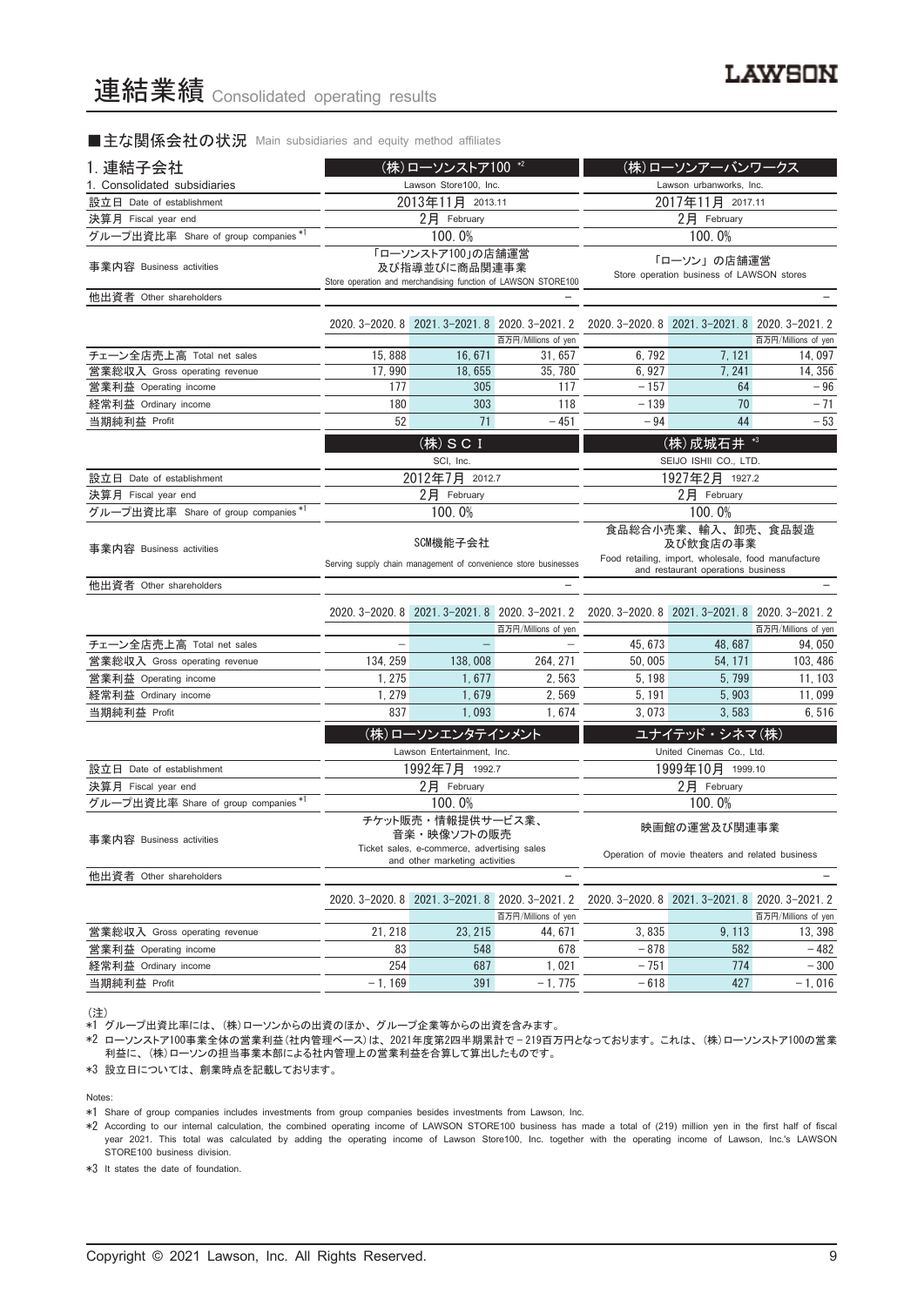#### ■主な関係会社の状況 Main subsidiaries and equity method affiliates

| 1. 連結子会社                             |                       | (株)ローソンストア100 *2                                                              |                                                                        | (株)ローソンアーバンワークス                                                                       |                                                  |                               |  |
|--------------------------------------|-----------------------|-------------------------------------------------------------------------------|------------------------------------------------------------------------|---------------------------------------------------------------------------------------|--------------------------------------------------|-------------------------------|--|
| 1. Consolidated subsidiaries         | Lawson Store100, Inc. |                                                                               |                                                                        | Lawson urbanworks, Inc.                                                               |                                                  |                               |  |
| 設立日 Date of establishment            |                       | 2013年11月 2013.11                                                              |                                                                        | 2017年11月 2017.11                                                                      |                                                  |                               |  |
| 決算月 Fiscal year end                  |                       | 2月 February                                                                   |                                                                        | $2$ 月 February                                                                        |                                                  |                               |  |
| グループ出資比率 Share of group companies    |                       | 100.0%                                                                        |                                                                        |                                                                                       | 100.0%                                           |                               |  |
| 事業内容 Business activities             |                       | 「ローソンストア100」の店舗運営<br>及び指導並びに商品関連事業                                            | Store operation and merchandising function of LAWSON STORE100          | 「ローソン」の店舗運営<br>Store operation business of LAWSON stores                              |                                                  |                               |  |
| 他出資者 Other shareholders              |                       |                                                                               |                                                                        |                                                                                       |                                                  |                               |  |
|                                      |                       |                                                                               | 2020. 3-2020. 8 2021. 3-2021. 8 2020. 3-2021. 2                        |                                                                                       | 2020. 3-2020. 8 2021. 3-2021. 8 2020. 3-2021. 2  |                               |  |
| チェーン全店売上高 Total net sales            | 15,888                | 16, 671                                                                       | 百万円/Millions of yen<br>31,657                                          | 6,792                                                                                 | 7, 121                                           | 百万円/Millions of yen<br>14,097 |  |
| 営業総収入 Gross operating revenue        | 17.990                | 18.655                                                                        | 35, 780                                                                | 6.927                                                                                 | 7.241                                            | 14.356                        |  |
| 営業利益 Operating income                | 177                   | 305                                                                           | 117                                                                    | $-157$                                                                                | 64                                               | $-96$                         |  |
| 経常利益 Ordinary income                 | 180                   | 303                                                                           | 118                                                                    | $-139$                                                                                | 70                                               | $-71$                         |  |
| 当期純利益 Profit                         | 52                    | 71                                                                            | $-451$                                                                 | $-94$                                                                                 | 44                                               | $-53$                         |  |
|                                      |                       |                                                                               |                                                                        |                                                                                       |                                                  |                               |  |
|                                      |                       | (株) SCI                                                                       |                                                                        |                                                                                       | (株) 成城石井 *3                                      |                               |  |
|                                      |                       | SCI, Inc.                                                                     |                                                                        | SEIJO ISHII CO., LTD.                                                                 |                                                  |                               |  |
| 設立日 Date of establishment            |                       | 2012年7月 2012.7                                                                |                                                                        | 1927年2月 1927.2<br>$2$ 月 February                                                      |                                                  |                               |  |
| 決算月 Fiscal year end                  |                       | $2$ 月 February                                                                |                                                                        |                                                                                       |                                                  |                               |  |
| グループ出資比率 Share of group companies*1  |                       | 100.0%                                                                        |                                                                        |                                                                                       | 100.0%                                           |                               |  |
| 事業内容 Business activities             | SCM機能子会社              |                                                                               |                                                                        | 食品総合小売業、輸入、卸売、食品製造<br>及び飲食店の事業<br>Food retailing, import, wholesale, food manufacture |                                                  |                               |  |
|                                      |                       |                                                                               | Serving supply chain management of convenience store businesses        | and restaurant operations business                                                    |                                                  |                               |  |
| 他出資者 Other shareholders              |                       |                                                                               |                                                                        |                                                                                       |                                                  |                               |  |
|                                      |                       | 2020. 3-2020. 8 2021. 3-2021. 8 2020. 3-2021. 2                               |                                                                        |                                                                                       | 2020. 3-2020. 8 2021. 3-2021. 8 2020. 3-2021. 2  |                               |  |
|                                      |                       |                                                                               | 百万円/Millions of yen                                                    |                                                                                       |                                                  | 百万円/Millions of yen           |  |
| チェーン全店売上高 Total net sales            |                       |                                                                               |                                                                        | 45, 673                                                                               | 48,687                                           | 94,050                        |  |
| 営業総収入 Gross operating revenue        | 134, 259              | 138,008                                                                       | 264.271                                                                | 50,005                                                                                | 54, 171                                          | 103, 486                      |  |
| 営業利益 Operating income                | 1.275                 | 1.677                                                                         | 2.563                                                                  | 5, 198                                                                                | 5,799                                            | 11, 103                       |  |
| 経常利益 Ordinary income                 | 1, 279                | 1.679                                                                         | 2.569                                                                  | 5, 191                                                                                | 5.903                                            | 11,099                        |  |
| 当期純利益 Profit                         | 837                   | 1,093                                                                         | 1,674                                                                  | 3.073                                                                                 | 3,583                                            | 6,516                         |  |
|                                      |                       | (株)ローソンエンタテインメント                                                              |                                                                        |                                                                                       | ユナイテッド・シネマ(株)                                    |                               |  |
|                                      |                       | Lawson Entertainment, Inc.                                                    |                                                                        |                                                                                       | United Cinemas Co., Ltd.                         |                               |  |
| 設立日 Date of establishment            |                       | 1992年7月 1992.7                                                                |                                                                        |                                                                                       | 1999年10月 1999.10                                 |                               |  |
| 決算月 Fiscal year end                  |                       | $2$ 月 February                                                                |                                                                        |                                                                                       | $2$ 月 February                                   |                               |  |
| グループ出資比率 Share of group companies *1 |                       | 100.0%                                                                        |                                                                        |                                                                                       | 100.0%                                           |                               |  |
|                                      |                       | チケット販売・情報提供サービス業、                                                             |                                                                        |                                                                                       |                                                  |                               |  |
| 事業内容 Business activities             |                       | 音楽・映像ソフトの販売                                                                   |                                                                        |                                                                                       | 映画館の運営及び関連事業                                     |                               |  |
|                                      |                       | Ticket sales, e-commerce, advertising sales<br>and other marketing activities |                                                                        |                                                                                       | Operation of movie theaters and related business |                               |  |
| 他出資者 Other shareholders              |                       |                                                                               |                                                                        |                                                                                       |                                                  |                               |  |
|                                      |                       |                                                                               |                                                                        |                                                                                       | 2020. 3-2020. 8 2021. 3-2021. 8 2020. 3-2021. 2  |                               |  |
|                                      |                       |                                                                               | 2020. 3-2020. 8 2021. 3-2021. 8 2020. 3-2021. 2<br>百万円/Millions of yen |                                                                                       |                                                  | 百万円/Millions of yen           |  |
| 営業総収入 Gross operating revenue        | 21, 218               | 23, 215                                                                       | 44.671                                                                 | 3,835                                                                                 | 9, 113                                           | 13, 398                       |  |
| 営業利益 Operating income                | 83                    | 548                                                                           | 678                                                                    | $-878$                                                                                | 582                                              | $-482$                        |  |

(注)

\*1 グループ出資比率には、 (株)ローソンからの出資のほか、 グループ企業等からの出資を含みます。

\*2 ローソンストア100事業全体の営業利益(社内管理ベース)は、 2021年度第2四半期累計で — 219百万円となっております。 これは、 (株)ローソンストア100の営業 利益に、 (株)ローソンの担当事業本部による社内管理上の営業利益を合算して算出したものです。

経常利益 Ordinary income 254 687 1,021 — 751 774 — 300 当期純利益 Profit - 1, 169 391 - 1, 775 - 618 427 - 1, 016

\*3 設立日については、 創業時点を記載しております。

Notes:

\*1 Share of group companies includes investments from group companies besides investments from Lawson, Inc.

\*2 According to our internal calculation, the combined operating income of LAWSON STORE100 business has made a total of (219) million yen in the first half of fiscal year 2021. This total was calculated by adding the operating income of Lawson Store100, Inc. together with the operating income of Lawson, Inc.'s LAWSON STORE100 business division.

\*3 It states the date of foundation.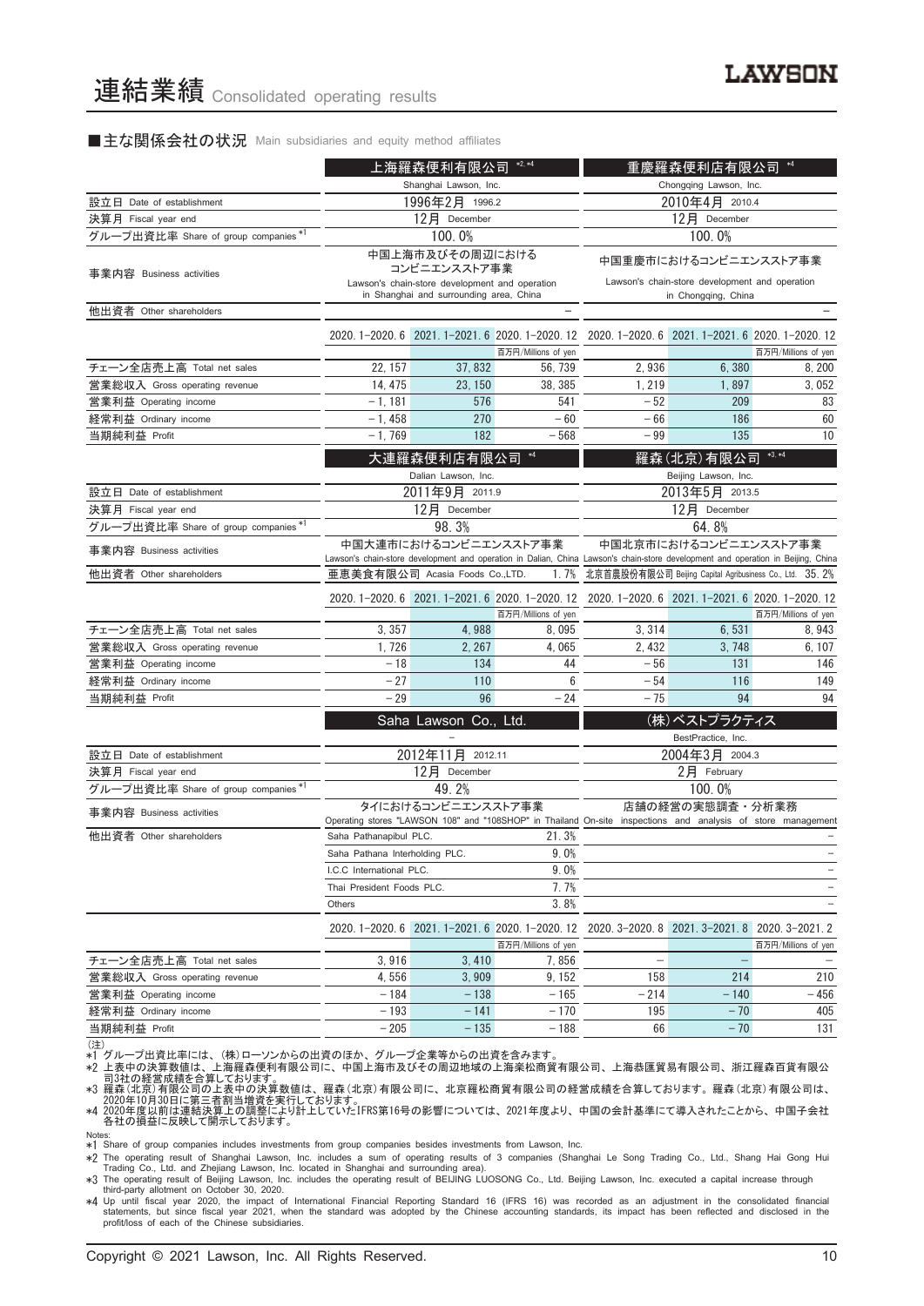#### ■主な関係会社の状況 Main subsidiaries and equity method affiliates

|                                     | $*2, *4$<br>上海羅森便利有限公司                                                                                                                                    |                                                                                           |                                                  | $^{*4}$<br>重慶羅森便利店有限公司                                                                                       |                                                                       |                     |  |
|-------------------------------------|-----------------------------------------------------------------------------------------------------------------------------------------------------------|-------------------------------------------------------------------------------------------|--------------------------------------------------|--------------------------------------------------------------------------------------------------------------|-----------------------------------------------------------------------|---------------------|--|
|                                     |                                                                                                                                                           | Shanghai Lawson, Inc.                                                                     |                                                  | Chongqing Lawson, Inc.                                                                                       |                                                                       |                     |  |
| 設立日 Date of establishment           |                                                                                                                                                           | 1996年2月 1996.2                                                                            |                                                  | 2010年4月 2010.4                                                                                               |                                                                       |                     |  |
| 決算月 Fiscal year end                 |                                                                                                                                                           | 12月 December                                                                              |                                                  |                                                                                                              | 12月 December                                                          |                     |  |
| グループ出資比率 Share of group companies*1 |                                                                                                                                                           | 100.0%                                                                                    |                                                  |                                                                                                              | 100.0%                                                                |                     |  |
| 事業内容 Business activities            |                                                                                                                                                           | 中国上海市及びその周辺における<br>コンビニエンスストア事業                                                           |                                                  | 中国重慶市におけるコンビニエンスストア事業                                                                                        |                                                                       |                     |  |
|                                     |                                                                                                                                                           | Lawson's chain-store development and operation<br>in Shanghai and surrounding area, China |                                                  |                                                                                                              | Lawson's chain-store development and operation<br>in Chongqing, China |                     |  |
| 他出資者 Other shareholders             |                                                                                                                                                           |                                                                                           |                                                  |                                                                                                              |                                                                       |                     |  |
|                                     |                                                                                                                                                           |                                                                                           |                                                  | 2020.1-2020.6 2021.1-2021.6 2020.1-2020.12 2020.1-2020.6 2021.1-2021.6 2020.1-2020.12                        |                                                                       |                     |  |
|                                     |                                                                                                                                                           |                                                                                           | 百万円/Millions of yen                              |                                                                                                              |                                                                       | 百万円/Millions of yen |  |
| チェーン全店売上高 Total net sales           | 22, 157                                                                                                                                                   | 37,832                                                                                    | 56, 739                                          | 2,936                                                                                                        | 6,380                                                                 | 8, 200              |  |
| 営業総収入 Gross operating revenue       | 14, 475                                                                                                                                                   | 23, 150                                                                                   | 38, 385                                          | 1, 219                                                                                                       | 1,897                                                                 | 3,052               |  |
| 営業利益 Operating income               | $-1, 181$                                                                                                                                                 | 576                                                                                       | 541                                              | $-52$                                                                                                        | 209                                                                   | 83                  |  |
| 経常利益 Ordinary income                | $-1,458$                                                                                                                                                  | 270                                                                                       | $-60$                                            | $-66$                                                                                                        | 186                                                                   | 60                  |  |
| 当期純利益 Profit                        | $-1,769$                                                                                                                                                  | 182                                                                                       | $-568$                                           | - 99                                                                                                         | 135                                                                   | 10                  |  |
|                                     |                                                                                                                                                           |                                                                                           |                                                  |                                                                                                              |                                                                       |                     |  |
|                                     |                                                                                                                                                           | 大連羅森便利店有限公司                                                                               | $*4$                                             |                                                                                                              | 羅森(北京)有限公司                                                            | $*3, *4$            |  |
|                                     |                                                                                                                                                           | Dalian Lawson, Inc.                                                                       |                                                  |                                                                                                              | Beijing Lawson, Inc.                                                  |                     |  |
| 設立日 Date of establishment           |                                                                                                                                                           | 2011年9月 2011.9                                                                            |                                                  | 2013年5月 2013.5                                                                                               |                                                                       |                     |  |
| 決算月 Fiscal year end                 |                                                                                                                                                           | 12月 December                                                                              |                                                  | 12月 December                                                                                                 |                                                                       |                     |  |
| グループ出資比率 Share of group companies*1 | 98.3%                                                                                                                                                     |                                                                                           |                                                  | 64.8%                                                                                                        |                                                                       |                     |  |
| 事業内容 Business activities            | 中国大連市におけるコンビニエンスストア事業<br>Lawson's chain-store development and operation in Dalian, China Lawson's chain-store development and operation in Beijing, China |                                                                                           |                                                  | 中国北京市におけるコンビニエンスストア事業                                                                                        |                                                                       |                     |  |
| 他出資者 Other shareholders             | 亜恵美食有限公司 Acasia Foods Co.,LTD.                                                                                                                            |                                                                                           | 1.7%                                             | 北京首農股份有限公司 Beijing Capital Agribusiness Co., Ltd. 35.2%                                                      |                                                                       |                     |  |
|                                     |                                                                                                                                                           |                                                                                           |                                                  | 2020.1-2020.6 2021.1-2021.6 2020.1-2020.12 2020.1-2020.6 2021.1-2021.6 2020.1-2020.12                        |                                                                       |                     |  |
|                                     |                                                                                                                                                           |                                                                                           | 百万円/Millions of yen                              |                                                                                                              |                                                                       | 百万円/Millions of yen |  |
| チェーン全店売上高 Total net sales           | 3, 357                                                                                                                                                    | 4,988                                                                                     | 8,095                                            | 3, 314                                                                                                       | 6,531                                                                 | 8,943               |  |
| 営業総収入 Gross operating revenue       | 1,726                                                                                                                                                     | 2, 267                                                                                    | 4,065                                            | 2, 432                                                                                                       | 3,748                                                                 | 6, 107              |  |
| 営業利益 Operating income               | $-18$                                                                                                                                                     | 134                                                                                       | 44                                               | $-56$                                                                                                        | 131                                                                   | 146                 |  |
| 経常利益 Ordinary income                | $-27$                                                                                                                                                     | 110                                                                                       | 6                                                | $-54$                                                                                                        | 116                                                                   | 149                 |  |
| 当期純利益 Profit                        | $-29$                                                                                                                                                     | 96                                                                                        | $-24$                                            | $-75$                                                                                                        | 94                                                                    | 94                  |  |
|                                     |                                                                                                                                                           | Saha Lawson Co., Ltd.                                                                     |                                                  |                                                                                                              | (株)ベストプラクティス                                                          |                     |  |
|                                     |                                                                                                                                                           |                                                                                           |                                                  |                                                                                                              | BestPractice, Inc.                                                    |                     |  |
| 設立日 Date of establishment           |                                                                                                                                                           | 2012年11月 2012.11                                                                          |                                                  |                                                                                                              | 2004年3月 2004.3                                                        |                     |  |
| 決算月 Fiscal year end                 |                                                                                                                                                           | 12月<br>December                                                                           |                                                  |                                                                                                              | 2月 February                                                           |                     |  |
| グループ出資比率 Share of group companies*1 |                                                                                                                                                           | 49.2%                                                                                     |                                                  |                                                                                                              | 100.0%                                                                |                     |  |
|                                     |                                                                                                                                                           | タイにおけるコンビニエンスストア事業                                                                        |                                                  |                                                                                                              | 店舗の経営の実態調査・分析業務                                                       |                     |  |
| 事業内容 Business activities            |                                                                                                                                                           |                                                                                           |                                                  | Operating stores "LAWSON 108" and "108SHOP" in Thailand On-site inspections and analysis of store management |                                                                       |                     |  |
| 他出資者 Other shareholders             | Saha Pathanapibul PLC.                                                                                                                                    |                                                                                           | 21.3%                                            |                                                                                                              |                                                                       |                     |  |
|                                     | Saha Pathana Interholding PLC.                                                                                                                            |                                                                                           | 9.0%                                             |                                                                                                              |                                                                       |                     |  |
|                                     | I.C.C International PLC.                                                                                                                                  |                                                                                           | 9.0%                                             |                                                                                                              |                                                                       |                     |  |
|                                     | Thai President Foods PLC.                                                                                                                                 |                                                                                           | 7.7%                                             |                                                                                                              |                                                                       |                     |  |
|                                     | Others                                                                                                                                                    |                                                                                           | 3.8%                                             |                                                                                                              |                                                                       |                     |  |
|                                     |                                                                                                                                                           |                                                                                           | 2020. 1-2020. 6 2021. 1-2021. 6 2020. 1-2020. 12 |                                                                                                              | 2020. 3-2020. 8 2021. 3-2021. 8 2020. 3-2021. 2                       |                     |  |
|                                     |                                                                                                                                                           |                                                                                           | 百万円/Millions of yen                              |                                                                                                              |                                                                       | 百万円/Millions of yen |  |
| チェーン全店売上高 Total net sales           | 3,916                                                                                                                                                     | 3,410                                                                                     | 7,856                                            |                                                                                                              |                                                                       |                     |  |
| 営業総収入 Gross operating revenue       | 4,556                                                                                                                                                     | 3,909                                                                                     | 9, 152                                           | 158                                                                                                          | 214                                                                   | 210                 |  |
| 営業利益 Operating income               | - 184                                                                                                                                                     | $-138$                                                                                    | $-165$                                           | $-214$                                                                                                       | $-140$                                                                | - 456               |  |
| 経常利益 Ordinary income                | - 193                                                                                                                                                     | $-141$                                                                                    | $-170$                                           | 195                                                                                                          | $-70$                                                                 | 405                 |  |
| 当期純利益 Profit                        | $-205$                                                                                                                                                    | $-135$                                                                                    | $-188$                                           | 66                                                                                                           | $-70$                                                                 | 131                 |  |
| (注)                                 |                                                                                                                                                           |                                                                                           |                                                  |                                                                                                              |                                                                       |                     |  |

(注) \*1 グループ出資比率には、 (株)ローソンからの出資のほか、 グループ企業等からの出資を含みます。

\*2 上表中の決算数値は、上海羅森便利有限公司に、中国上海市及びその周辺地域の上海楽松商貿有限公司、上海恭匯貿易有限公司、浙江羅森百貨有限公<br>- 司3社の経営成績を合算しております。<br>\*3 羅森(北京)有限公司の上表中の決算数値は、羅森(北京)有限公司に、北京羅松商貿有限公司の経営成績を合算しております。羅森(北京)有限公司は、<br>\*4 2020年10月30日に第三者割当増資を実行しております。<br>\*4 2020年度月前に反映して開示してお

Notes: \*1 Share of group companies includes investments from group companies besides investments from Lawson, Inc.

∗2 The operating result of Shanghai Lawson, Inc. includes a sum of operating results of 3 companies (Shanghai Le Song Trading Co., Ltd., Shang Hai Gong Hui<br>Trading Co., Ltd. and Zhejiang Lawson, Inc. located in Shanghai a

\*3 The operating result of Beijing Lawson, Inc. includes the operating result of BEIJING LUOSONG Co., Ltd. Beijing Lawson, Inc. executed a capital increase through

third-party allotment on October 30, 2020.<br>\*4 Up until fiscal year 2020, the impact of International Financial Reporting Standard 16 (IFRS 16) was recorded as an adjustment in the consolidated financial<br>statements, but sin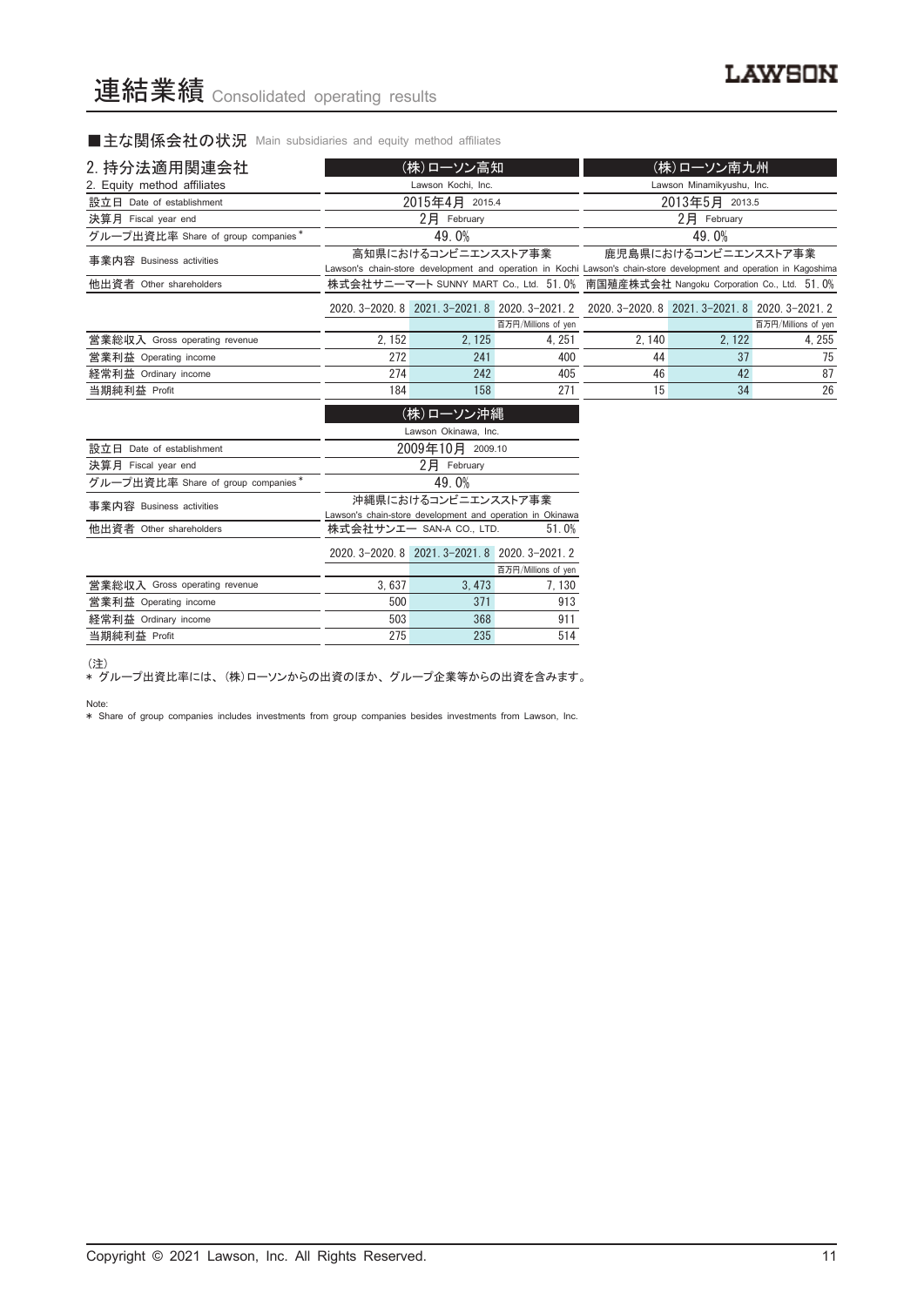■主な関係会社の状況 Main subsidiaries and equity method affiliates

| 2. 持分法適用関連会社                       |        | (株)ローソン高知                   |                                                           |                                                                                                                     | (株)ローソン南九州                |                     |
|------------------------------------|--------|-----------------------------|-----------------------------------------------------------|---------------------------------------------------------------------------------------------------------------------|---------------------------|---------------------|
| 2. Equity method affiliates        |        | Lawson Kochi, Inc.          |                                                           |                                                                                                                     | Lawson Minamikyushu, Inc. |                     |
|                                    |        |                             |                                                           |                                                                                                                     |                           |                     |
| 設立日 Date of establishment          |        | 2015年4月 2015.4              |                                                           |                                                                                                                     | 2013年5月 2013.5            |                     |
| 決算月 Fiscal year end                |        | $2$ 月 February              |                                                           |                                                                                                                     | $2$ 月 February            |                     |
| グループ出資比率 Share of group companies* |        | 49.0%                       |                                                           |                                                                                                                     | 49.0%                     |                     |
| 事業内容 Business activities           |        | 高知県におけるコンビニエンスストア事業         |                                                           | Lawson's chain-store development and operation in Kochi Lawson's chain-store development and operation in Kagoshima | 鹿児島県におけるコンビニエンスストア事業      |                     |
| 他出資者 Other shareholders            |        |                             |                                                           | 株式会社サニーマート SUNNY MART Co., Ltd. 51.0% 南国殖産株式会社 Nangoku Corporation Co., Ltd. 51.0%                                  |                           |                     |
|                                    |        |                             |                                                           | 2020. 3-2020. 8 2021. 3-2021. 8 2020. 3-2021. 2 2020. 3-2020. 8 2021. 3-2021. 8 2020. 3-2021. 2                     |                           |                     |
|                                    |        |                             | 百万円/Millions of yen                                       |                                                                                                                     |                           | 百万円/Millions of yen |
| 営業総収入 Gross operating revenue      | 2, 152 | 2, 125                      | 4, 251                                                    | 2, 140                                                                                                              | 2, 122                    | 4, 255              |
| 営業利益 Operating income              | 272    | 241                         | 400                                                       | 44                                                                                                                  | 37                        | 75                  |
| 経常利益 Ordinary income               | 274    | 242                         | 405                                                       | 46                                                                                                                  | 42                        | 87                  |
| 当期純利益 Profit                       | 184    | 158                         | 271                                                       | 15                                                                                                                  | 34                        | 26                  |
|                                    |        | (株)ローソン沖縄                   |                                                           |                                                                                                                     |                           |                     |
|                                    |        | Lawson Okinawa, Inc.        |                                                           |                                                                                                                     |                           |                     |
| 設立日 Date of establishment          |        | 2009年10月 2009.10            |                                                           |                                                                                                                     |                           |                     |
| 決算月 Fiscal year end                |        | $2$ $\overline{P}$ February |                                                           |                                                                                                                     |                           |                     |
| グループ出資比率 Share of group companies* |        | 49.0%                       |                                                           |                                                                                                                     |                           |                     |
| 事業内容 Business activities           |        | 沖縄県におけるコンビニエンスストア事業         |                                                           |                                                                                                                     |                           |                     |
|                                    |        |                             | Lawson's chain-store development and operation in Okinawa |                                                                                                                     |                           |                     |

| 他出資者 Other shareholders       | 株式会社サンエー SAN-A CO., LTD. | 51.0%                                           |                     |
|-------------------------------|--------------------------|-------------------------------------------------|---------------------|
|                               |                          | 2020. 3-2020. 8 2021. 3-2021. 8 2020. 3-2021. 2 |                     |
|                               |                          |                                                 | 百万円/Millions of yen |
| 営業総収入 Gross operating revenue | 3.637                    | 3.473                                           | 7.130               |
| 営業利益 Operating income         | 500                      | 371                                             | 913                 |
| 経常利益 Ordinary income          | 503                      | 368                                             | 911                 |
| 当期純利益 Profit                  | 275                      | 235                                             | 514                 |

(注)

\* グループ出資比率には、 (株)ローソンからの出資のほか、 グループ企業等からの出資を含みます。

Note:

\* Share of group companies includes investments from group companies besides investments from Lawson, Inc.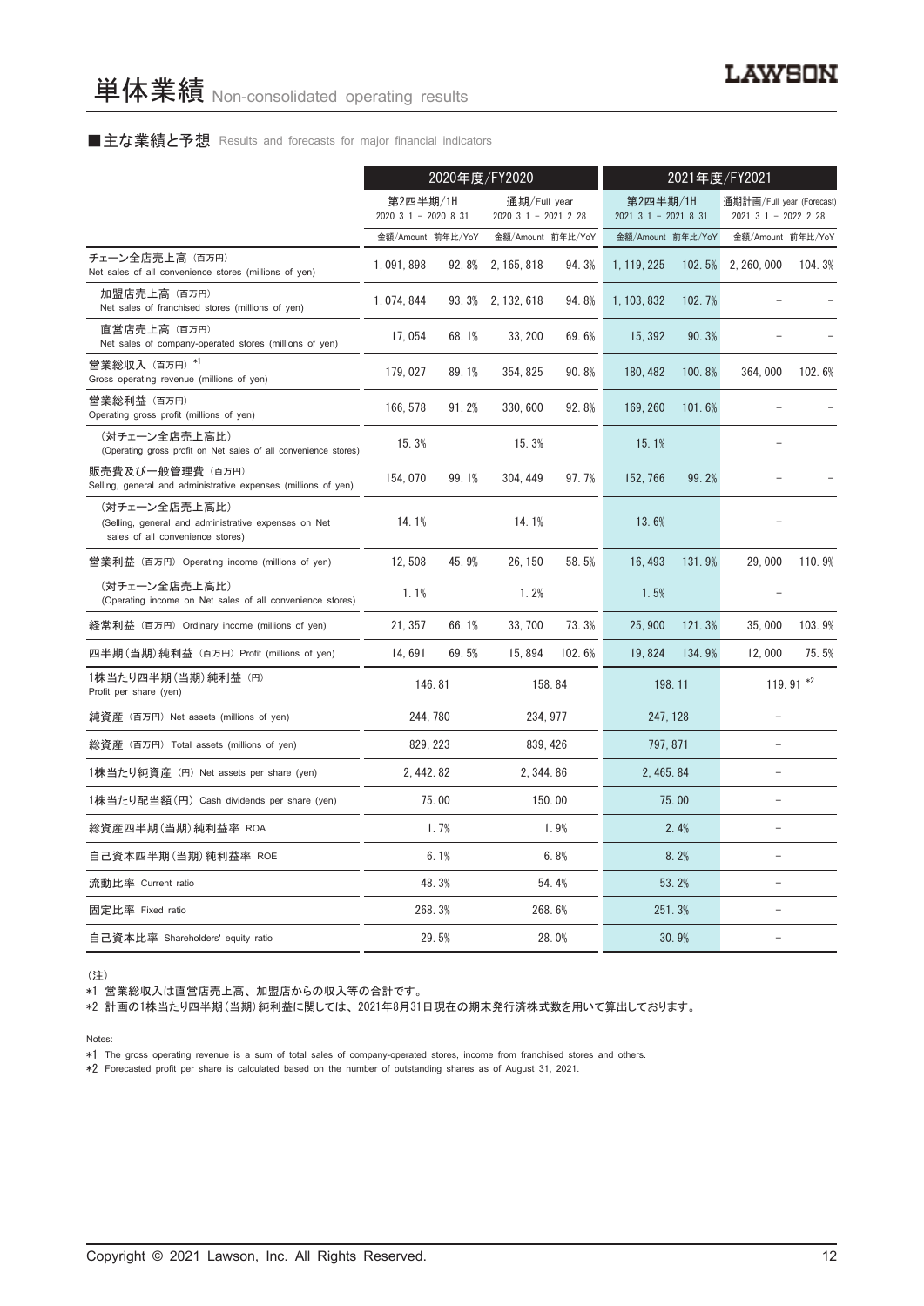#### ■主な業績と予想 Results and forecasts for major financial indicators

|                                                                                                           |                                    | 2020年度/FY2020 |                                        |                  | 2021年度/FY2021                      |        |                                                     |                   |
|-----------------------------------------------------------------------------------------------------------|------------------------------------|---------------|----------------------------------------|------------------|------------------------------------|--------|-----------------------------------------------------|-------------------|
|                                                                                                           | 第2四半期/1H<br>$2020.3.1 - 2020.8.31$ |               | 通期/Full year<br>$2020.3.1 - 2021.2.28$ |                  | 第2四半期/1H<br>$2021.3.1 - 2021.8.31$ |        | 通期計画/Full year (Forecast)<br>$2021.3.1 - 2022.2.28$ |                   |
|                                                                                                           | 金額/Amount 前年比/YoY                  |               | 金額/Amount 前年比/YoY                      |                  | 金額/Amount 前年比/YoY                  |        |                                                     | 金額/Amount 前年比/YoY |
| チェーン全店売上高 (百万円)<br>Net sales of all convenience stores (millions of yen)                                  | 1,091,898                          | 92.8%         | 2, 165, 818                            | 94.3%            | 1, 119, 225                        | 102.5% | 2, 260, 000                                         | 104.3%            |
| 加盟店売上高(百万円)<br>Net sales of franchised stores (millions of yen)                                           | 1, 074, 844                        |               | 93. 3% 2. 132, 618                     | 94.8%            | 1, 103, 832                        | 102.7% |                                                     |                   |
| 直営店売上高(百万円)<br>Net sales of company-operated stores (millions of yen)                                     | 17,054                             | 68.1%         | 33, 200                                | 69.6%            | 15, 392                            | 90.3%  |                                                     |                   |
| 営業総収入 (百万円) *1<br>Gross operating revenue (millions of yen)                                               | 179,027                            | 89.1%         | 354, 825                               | 90.8%            | 180, 482                           | 100.8% | 364,000                                             | 102.6%            |
| 営業総利益 (百万円)<br>Operating gross profit (millions of yen)                                                   | 166, 578                           | 91.2%         | 330, 600                               | 92.8%            | 169, 260                           | 101.6% |                                                     |                   |
| (対チェーン全店売上高比)<br>(Operating gross profit on Net sales of all convenience stores)                          | 15.3%                              |               | 15.3%                                  |                  | 15.1%                              |        |                                                     |                   |
| 販売費及び一般管理費(百万円)<br>Selling, general and administrative expenses (millions of yen)                         | 154, 070                           | 99.1%         | 304, 449                               | 97.7%            | 152, 766                           | 99.2%  |                                                     |                   |
| (対チェーン全店売上高比)<br>(Selling, general and administrative expenses on Net<br>sales of all convenience stores) | 14.1%                              |               | 14.1%                                  |                  | 13.6%                              |        |                                                     |                   |
| 営業利益 (百万円) Operating income (millions of yen)                                                             | 12.508                             | 45.9%         | 26.150                                 | 58.5%            | 16, 493                            | 131.9% | 29.000                                              | 110.9%            |
| (対チェーン全店売上高比)<br>(Operating income on Net sales of all convenience stores)                                | 1.1%                               |               | 1.2%                                   |                  | 1.5%                               |        |                                                     |                   |
| 経常利益 (百万円) Ordinary income (millions of yen)                                                              | 21, 357                            | 66.1%         | 33, 700                                | 73.3%            | 25,900                             | 121.3% | 35,000                                              | 103.9%            |
| 四半期(当期)純利益 (百万円) Profit (millions of yen)                                                                 | 14,691                             | 69.5%         | 15, 894                                | 102.6%           | 19,824                             | 134.9% | 12,000                                              | 75.5%             |
| 1株当たり四半期 (当期) 純利益 (円)<br>Profit per share (yen)                                                           |                                    | 146.81        |                                        | 158.84<br>198.11 |                                    |        |                                                     | 119.91 $*2$       |
| 純資産 (百万円) Net assets (millions of yen)                                                                    |                                    | 244, 780      |                                        | 234, 977         | 247, 128                           |        |                                                     |                   |
| 総資産 (百万円) Total assets (millions of yen)                                                                  |                                    | 829, 223      |                                        | 839, 426         | 797, 871                           |        | $\equiv$                                            |                   |
| 1株当たり純資産 (円) Net assets per share (yen)                                                                   | 2.442.82                           |               | 2.344.86                               |                  | 2.465.84                           |        | $\equiv$                                            |                   |
| 1株当たり配当額(円) Cash dividends per share (yen)                                                                |                                    | 75.00         |                                        | 150.00           |                                    | 75.00  |                                                     |                   |
| 総資産四半期(当期)純利益率 ROA                                                                                        |                                    | 1.7%          |                                        | 1.9%             |                                    | 2.4%   | L.                                                  |                   |
| 自己資本四半期(当期) 純利益率 ROE                                                                                      |                                    | 6.1%          |                                        | 6.8%             |                                    | 8.2%   | $\equiv$                                            |                   |
| 流動比率 Current ratio                                                                                        |                                    | 48.3%         |                                        | 54.4%            |                                    | 53.2%  |                                                     |                   |
| 固定比率 Fixed ratio                                                                                          |                                    | 268.3%        |                                        | 268.6%           |                                    | 251.3% |                                                     |                   |
| 自己資本比率 Shareholders' equity ratio                                                                         |                                    | 29.5%         |                                        | 28.0%            |                                    | 30.9%  | $\equiv$                                            |                   |

(注)

\*1 営業総収入は直営店売上高、 加盟店からの収入等の合計です。

\*2 計画の1株当たり四半期(当期)純利益に関しては、 2021年8月31日現在の期末発行済株式数を用いて算出しております。

Notes:

\*1 The gross operating revenue is a sum of total sales of company-operated stores, income from franchised stores and others.

\*2 Forecasted profit per share is calculated based on the number of outstanding shares as of August 31, 2021.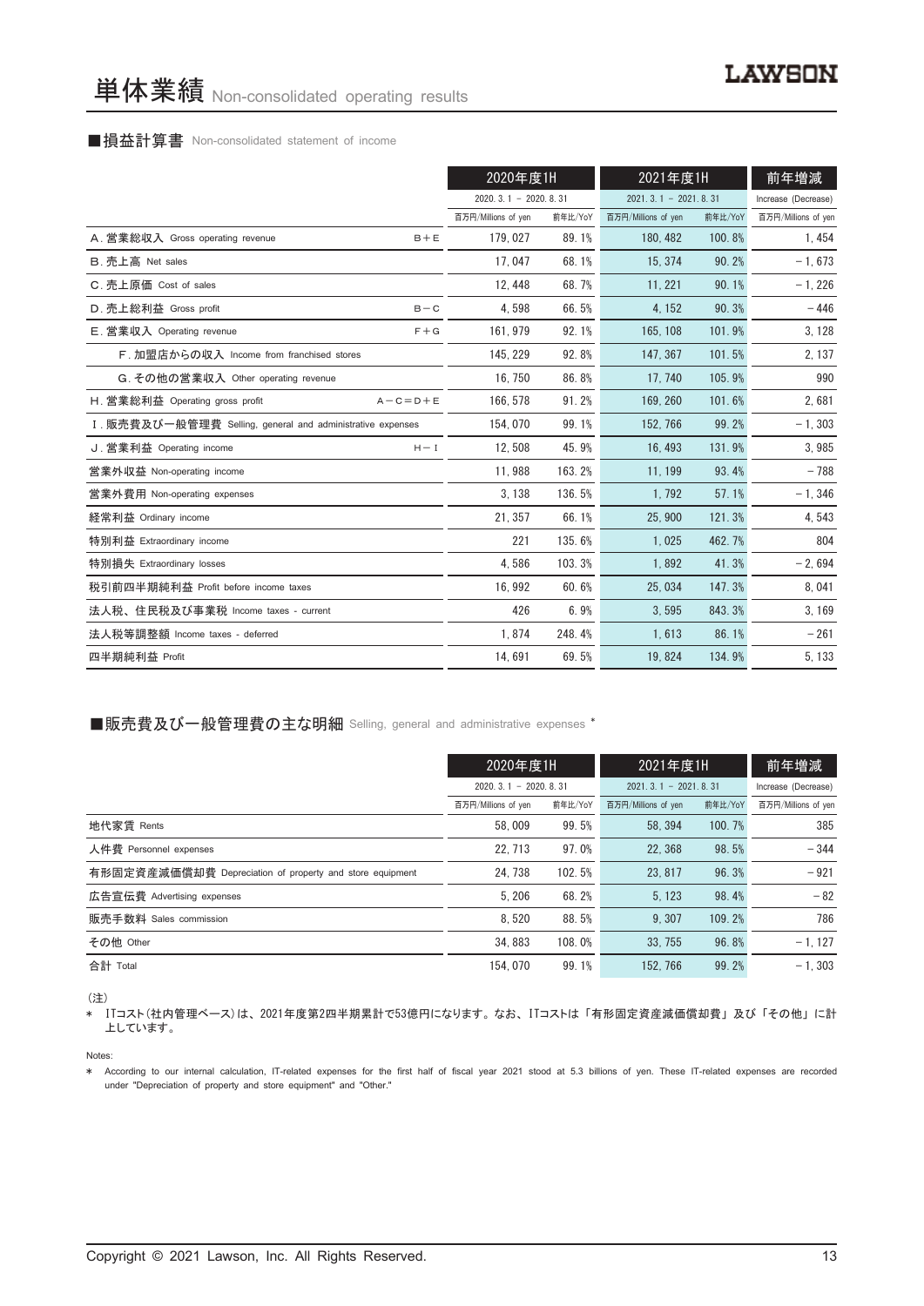#### ■損益計算書 Non-consolidated statement of income

|                                                            | 2020年度1H               |         | 2021年度1H               |         | 前年増減                |
|------------------------------------------------------------|------------------------|---------|------------------------|---------|---------------------|
|                                                            | $2020.3.1 - 2020.8.31$ |         | $2021.3.1 - 2021.8.31$ |         | Increase (Decrease) |
|                                                            | 百万円/Millions of yen    | 前年比/YoY | 百万円/Millions of yen    | 前年比/YoY | 百万円/Millions of yen |
| A. 営業総収入 Gross operating revenue<br>$B + E$                | 179, 027               | 89.1%   | 180, 482               | 100.8%  | 1, 454              |
| B. 売上高 Net sales                                           | 17,047                 | 68.1%   | 15, 374                | 90.2%   | $-1,673$            |
| C. 売上原価 Cost of sales                                      | 12.448                 | 68.7%   | 11.221                 | 90.1%   | $-1,226$            |
| D. 売上総利益 Gross profit<br>$B - C$                           | 4,598                  | 66.5%   | 4, 152                 | 90.3%   | $-446$              |
| E. 営業収入 Operating revenue<br>$F + G$                       | 161, 979               | 92.1%   | 165, 108               | 101.9%  | 3, 128              |
| F. 加盟店からの収入 Income from franchised stores                  | 145.229                | 92.8%   | 147.367                | 101.5%  | 2, 137              |
| G. その他の営業収入 Other operating revenue                        | 16, 750                | 86.8%   | 17, 740                | 105.9%  | 990                 |
| H. 営業総利益 Operating gross profit<br>$A - C = D + E$         | 166, 578               | 91.2%   | 169, 260               | 101.6%  | 2,681               |
| I. 販売費及び一般管理費 Selling, general and administrative expenses | 154, 070               | 99.1%   | 152, 766               | 99.2%   | $-1, 303$           |
| J. 営業利益 Operating income<br>$H - I$                        | 12.508                 | 45.9%   | 16, 493                | 131.9%  | 3,985               |
| 営業外収益 Non-operating income                                 | 11,988                 | 163.2%  | 11, 199                | 93.4%   | $-788$              |
| 営業外費用 Non-operating expenses                               | 3, 138                 | 136.5%  | 1,792                  | 57.1%   | $-1, 346$           |
| 経常利益 Ordinary income                                       | 21, 357                | 66.1%   | 25.900                 | 121.3%  | 4,543               |
| 特別利益 Extraordinary income                                  | 221                    | 135.6%  | 1.025                  | 462.7%  | 804                 |
| 特別損失 Extraordinary losses                                  | 4,586                  | 103.3%  | 1,892                  | 41.3%   | $-2,694$            |
| 税引前四半期純利益 Profit before income taxes                       | 16.992                 | 60.6%   | 25.034                 | 147.3%  | 8,041               |
| 法人税、住民税及び事業税 Income taxes - current                        | 426                    | 6.9%    | 3,595                  | 843.3%  | 3, 169              |
| 法人税等調整額 Income taxes - deferred                            | 1,874                  | 248.4%  | 1,613                  | 86.1%   | $-261$              |
| 四半期純利益 Profit                                              | 14,691                 | 69.5%   | 19,824                 | 134.9%  | 5, 133              |

■販売費及び一般管理費の主な明細 Selling, general and administrative expenses \*

|                                                          | 2020年度1H            |                        | 2021年度1H            |                        | 前年増減                |
|----------------------------------------------------------|---------------------|------------------------|---------------------|------------------------|---------------------|
|                                                          |                     | $2020.3.1 - 2020.8.31$ |                     | $2021.3.1 - 2021.8.31$ |                     |
|                                                          | 百万円/Millions of yen | 前年比/YoY                | 百万円/Millions of yen | 前年比/YoY                | 百万円/Millions of yen |
| 地代家賃 Rents                                               | 58,009              | 99.5%                  | 58.394              | 100.7%                 | 385                 |
| 人件費 Personnel expenses                                   | 22.713              | 97.0%                  | 22.368              | 98.5%                  | $-344$              |
| 有形固定資産減価償却費 Depreciation of property and store equipment | 24.738              | 102.5%                 | 23, 817             | 96.3%                  | $-921$              |
| 広告宣伝費 Advertising expenses                               | 5.206               | 68.2%                  | 5, 123              | 98.4%                  | $-82$               |
| 販売手数料 Sales commission                                   | 8.520               | 88.5%                  | 9.307               | 109.2%                 | 786                 |
| その他 Other                                                | 34.883              | 108.0%                 | 33.755              | 96.8%                  | $-1, 127$           |
| 合計 Total                                                 | 154, 070            | 99.1%                  | 152.766             | 99.2%                  | $-1.303$            |

(注)

\* ITコスト(社内管理ベース)は、 2021年度第2四半期累計で53億円になります。 なお、 ITコストは 「有形固定資産減価償却費」 及び 「その他」 に計 上しています。

Notes:

\* According to our internal calculation, IT-related expenses for the first half of fiscal year 2021 stood at 5.3 billions of yen. These IT-related expenses are recorded under "Depreciation of property and store equipment" and "Other."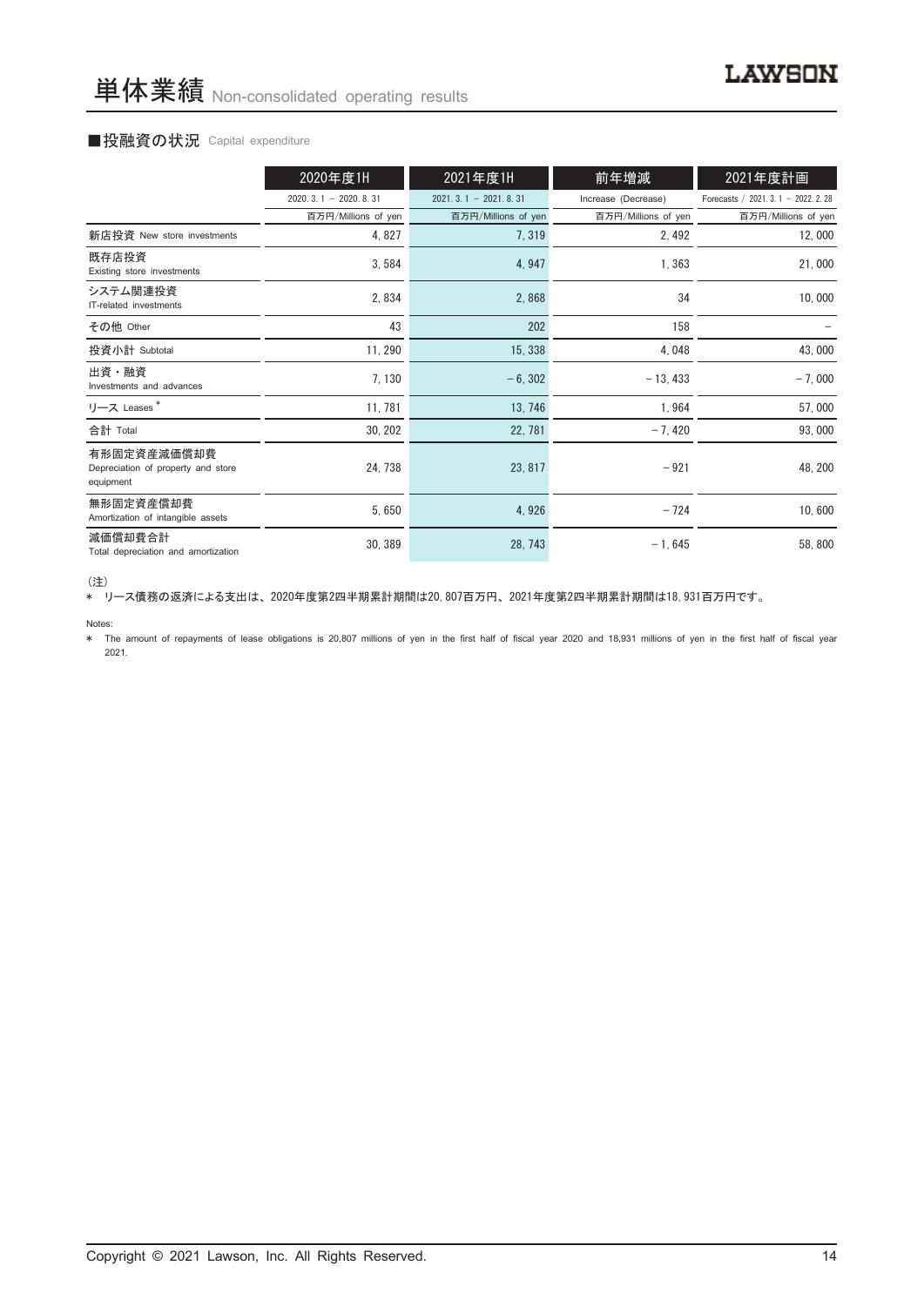#### ■投融資の状況 Capital expenditure

|                                                                | 2020年度1H               | 2021年度1H               | 前年増減                | 2021年度計画                             |
|----------------------------------------------------------------|------------------------|------------------------|---------------------|--------------------------------------|
|                                                                | $2020.3.1 - 2020.8.31$ | $2021.3.1 - 2021.8.31$ | Increase (Decrease) | Forecasts / 2021. 3. 1 - 2022. 2. 28 |
|                                                                | 百万円/Millions of yen    | 百万円/Millions of yen    | 百万円/Millions of yen | 百万円/Millions of yen                  |
| 新店投資 New store investments                                     | 4,827                  | 7,319                  | 2,492               | 12,000                               |
| 既存店投資<br>Existing store investments                            | 3,584                  | 4,947                  | 1,363               | 21,000                               |
| システム関連投資<br>IT-related investments                             | 2,834                  | 2,868                  | 34                  | 10,000                               |
| その他 Other                                                      | 43                     | 202                    | 158                 |                                      |
| 投資小計 Subtotal                                                  | 11, 290                | 15, 338                | 4,048               | 43,000                               |
| 出資・融資<br>Investments and advances                              | 7, 130                 | $-6, 302$              | $-13, 433$          | $-7,000$                             |
| リース Leases*                                                    | 11, 781                | 13, 746                | 1,964               | 57,000                               |
| 合計 Total                                                       | 30, 202                | 22, 781                | $-7,420$            | 93,000                               |
| 有形固定資産減価償却費<br>Depreciation of property and store<br>equipment | 24, 738                | 23, 817                | $-921$              | 48, 200                              |
| 無形固定資産償却費<br>Amortization of intangible assets                 | 5,650                  | 4,926                  | $-724$              | 10,600                               |
| 減価償却費合計<br>Total depreciation and amortization                 | 30, 389                | 28, 743                | $-1,645$            | 58,800                               |

<sup>(</sup>注)

、----<br>\* リース債務の返済による支出は、2020年度第2四半期累計期間は20,807百万円、2021年度第2四半期累計期間は18,931百万円です。

Notes:

\* The amount of repayments of lease obligations is 20,807 millions of yen in the first half of fiscal year 2020 and 18,931 millions of yen in the first half of fiscal year 2021.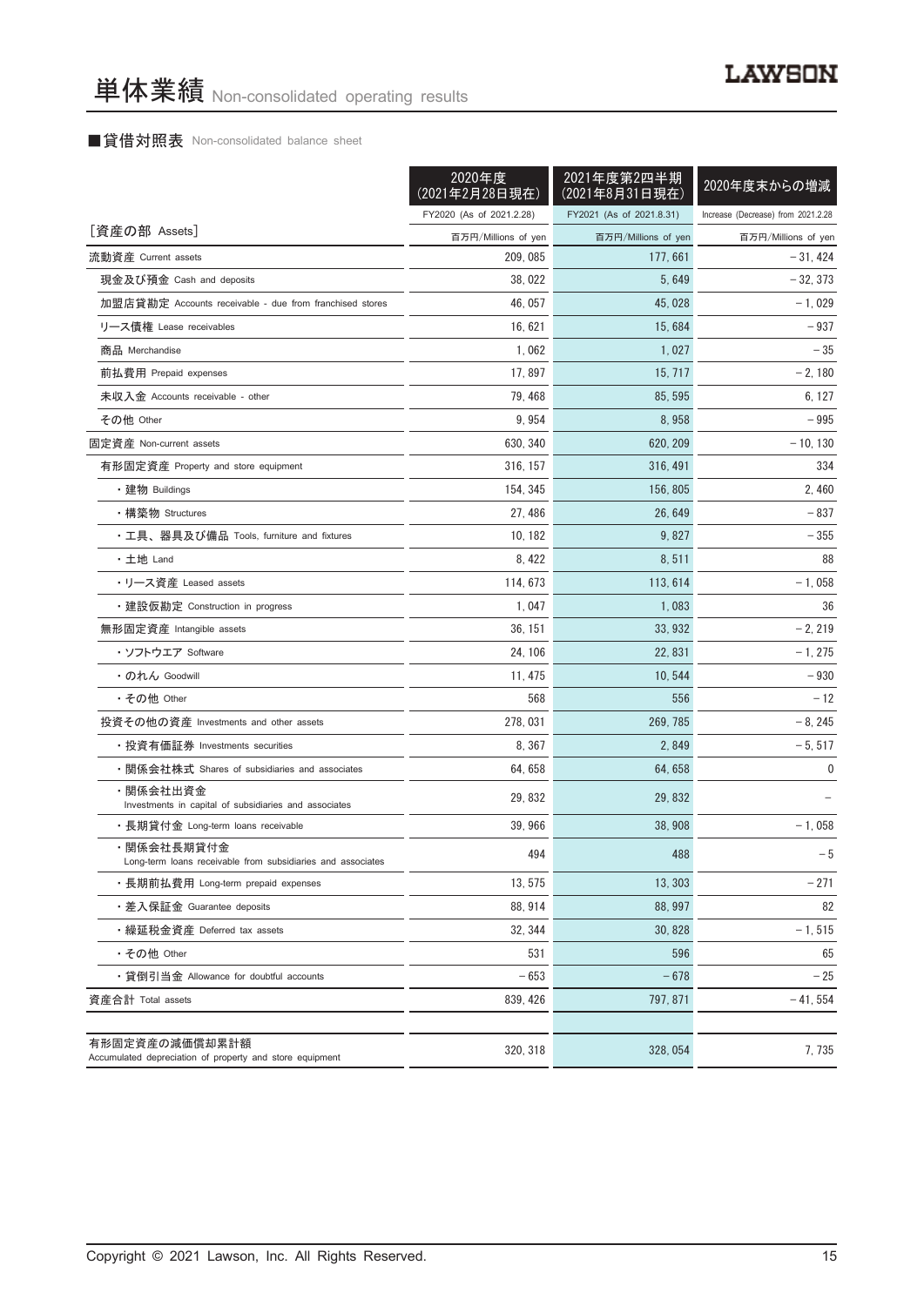### ■貸借対照表 Non-consolidated balance sheet

|                                                                            | 2020年度<br>(2021年2月28日現在) | 2021年度第2四半期<br>(2021年8月31日現在) | 2020年度末からの増減                       |
|----------------------------------------------------------------------------|--------------------------|-------------------------------|------------------------------------|
|                                                                            | FY2020 (As of 2021.2.28) | FY2021 (As of 2021.8.31)      | Increase (Decrease) from 2021.2.28 |
| [資産の部 Assets]                                                              | 百万円/Millions of yen      | 百万円/Millions of yen           | 百万円/Millions of yen                |
| 流動資産 Current assets                                                        | 209, 085                 | 177, 661                      | $-31,424$                          |
| 現金及び預金 Cash and deposits                                                   | 38, 022                  | 5,649                         | $-32, 373$                         |
| 加盟店貸勘定 Accounts receivable - due from franchised stores                    | 46, 057                  | 45, 028                       | $-1,029$                           |
| リース債権 Lease receivables                                                    | 16.621                   | 15, 684                       | $-937$                             |
| 商品 Merchandise                                                             | 1,062                    | 1,027                         | $-35$                              |
| 前払費用 Prepaid expenses                                                      | 17,897                   | 15, 717                       | $-2,180$                           |
| 未収入金 Accounts receivable - other                                           | 79, 468                  | 85, 595                       | 6, 127                             |
| その他 Other                                                                  | 9,954                    | 8,958                         | - 995                              |
| 固定資産 Non-current assets                                                    | 630, 340                 | 620, 209                      | $-10, 130$                         |
| 有形固定資産 Property and store equipment                                        | 316, 157                 | 316, 491                      | 334                                |
| ・建物 Buildings                                                              | 154, 345                 | 156, 805                      | 2, 460                             |
| ・構築物 Structures                                                            | 27, 486                  | 26, 649                       | $-837$                             |
| ・工具、器具及び備品 Tools, furniture and fixtures                                   | 10, 182                  | 9,827                         | - 355                              |
| ・土地 Land                                                                   | 8,422                    | 8,511                         | 88                                 |
| • リース資産 Leased assets                                                      | 114, 673                 | 113, 614                      | $-1,058$                           |
| ・建設仮勘定 Construction in progress                                            | 1.047                    | 1,083                         | 36                                 |
| 無形固定資産 Intangible assets                                                   | 36, 151                  | 33, 932                       | $-2, 219$                          |
| ・ソフトウエア Software                                                           | 24, 106                  | 22, 831                       | $-1, 275$                          |
| ・のれん Goodwill                                                              | 11, 475                  | 10, 544                       | $-930$                             |
| ・その他 Other                                                                 | 568                      | 556                           | $-12$                              |
| 投資その他の資産 Investments and other assets                                      | 278, 031                 | 269, 785                      | $-8, 245$                          |
| ・投資有価証券 Investments securities                                             | 8, 367                   | 2,849                         | $-5, 517$                          |
| ・関係会社株式 Shares of subsidiaries and associates                              | 64, 658                  | 64, 658                       | 0                                  |
| ・関係会社出資金<br>Investments in capital of subsidiaries and associates          | 29, 832                  | 29, 832                       |                                    |
| ・長期貸付金 Long-term loans receivable                                          | 39, 966                  | 38, 908                       | $-1,058$                           |
| ・関係会社長期貸付金<br>Long-term loans receivable from subsidiaries and associates  | 494                      | 488                           | $-5$                               |
| ・長期前払費用 Long-term prepaid expenses                                         | 13, 575                  | 13, 303                       | $-271$                             |
| ・差入保証金 Guarantee deposits                                                  | 88, 914                  | 88, 997                       | 82                                 |
| ・繰延税金資産 Deferred tax assets                                                | 32, 344                  | 30, 828                       | $-1, 515$                          |
| ・その他 Other                                                                 | 531                      | 596                           | 65                                 |
| ・貸倒引当金 Allowance for doubtful accounts                                     | $-653$                   | $-678$                        | $-25$                              |
| 資産合計 Total assets                                                          | 839, 426                 | 797, 871                      | $-41,554$                          |
| 有形固定資産の減価償却累計額<br>Accumulated depreciation of property and store equipment | 320, 318                 | 328, 054                      | 7,735                              |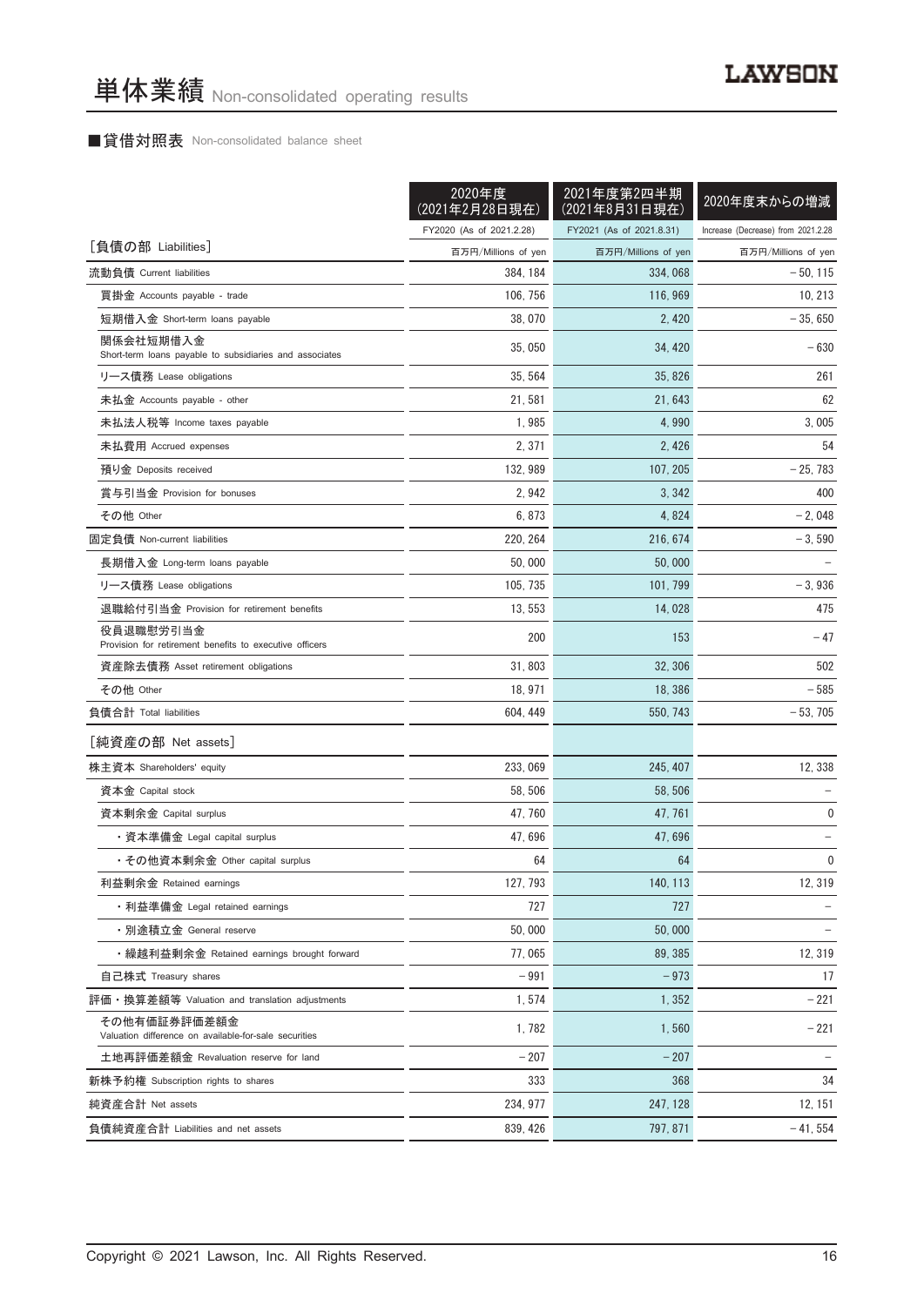#### ■貸借対照表 Non-consolidated balance sheet

|                                                                       | 2020年度<br>(2021年2月28日現在) | 2021年度第2四半期<br>(2021年8月31日現在) | 2020年度末からの増減                       |
|-----------------------------------------------------------------------|--------------------------|-------------------------------|------------------------------------|
|                                                                       | FY2020 (As of 2021.2.28) | FY2021 (As of 2021.8.31)      | Increase (Decrease) from 2021.2.28 |
| [負債の部 Liabilities]                                                    | 百万円/Millions of yen      | 百万円/Millions of yen           | 百万円/Millions of yen                |
| 流動負債 Current liabilities                                              | 384, 184                 | 334, 068                      | $-50.115$                          |
| 買掛金 Accounts payable - trade                                          | 106, 756                 | 116, 969                      | 10, 213                            |
| 短期借入金 Short-term loans payable                                        | 38,070                   | 2, 420                        | $-35,650$                          |
| 関係会社短期借入金<br>Short-term loans payable to subsidiaries and associates  | 35,050                   | 34, 420                       | $-630$                             |
| リース債務 Lease obligations                                               | 35, 564                  | 35, 826                       | 261                                |
| 未払金 Accounts payable - other                                          | 21, 581                  | 21, 643                       | 62                                 |
| 未払法人税等 Income taxes payable                                           | 1,985                    | 4,990                         | 3,005                              |
| 未払費用 Accrued expenses                                                 | 2, 371                   | 2,426                         | 54                                 |
| 預り金 Deposits received                                                 | 132, 989                 | 107, 205                      | $-25,783$                          |
| 賞与引当金 Provision for bonuses                                           | 2,942                    | 3, 342                        | 400                                |
| その他 Other                                                             | 6,873                    | 4,824                         | $-2,048$                           |
| 固定負債 Non-current liabilities                                          | 220, 264                 | 216, 674                      | $-3,590$                           |
| 長期借入金 Long-term loans payable                                         | 50,000                   | 50,000                        |                                    |
| リース債務 Lease obligations                                               | 105, 735                 | 101, 799                      | $-3,936$                           |
| 退職給付引当金 Provision for retirement benefits                             | 13, 553                  | 14,028                        | 475                                |
| 役員退職慰労引当金<br>Provision for retirement benefits to executive officers  | 200                      | 153                           | $-47$                              |
| 資産除去債務 Asset retirement obligations                                   | 31,803                   | 32, 306                       | 502                                |
| その他 Other                                                             | 18, 971                  | 18, 386                       | $-585$                             |
| 負債合計 Total liabilities                                                | 604, 449                 | 550, 743                      | $-53,705$                          |
| [純資産の部 Net assets]                                                    |                          |                               |                                    |
| 株主資本 Shareholders' equity                                             | 233, 069                 | 245, 407                      | 12, 338                            |
| 資本金 Capital stock                                                     | 58, 506                  | 58.506                        |                                    |
| 資本剰余金 Capital surplus                                                 | 47, 760                  | 47, 761                       | 0                                  |
| ・資本準備金 Legal capital surplus                                          | 47,696                   | 47,696                        |                                    |
| ・その他資本剰余金 Other capital surplus                                       | 64                       | 64                            | 0                                  |
| 利益剰余金 Retained earnings                                               | 127, 793                 | 140, 113                      | 12, 319                            |
| ・利益準備金 Legal retained earnings                                        | 727                      | 727                           |                                    |
| ・別途積立金 General reserve                                                | 50,000                   | 50,000                        |                                    |
| ・繰越利益剰余金 Retained earnings brought forward                            | 77,065                   | 89, 385                       | 12, 319                            |
| 自己株式 Treasury shares                                                  | $-991$                   | $-973$                        | 17                                 |
| 評価・換算差額等 Valuation and translation adjustments                        | 1,574                    | 1,352                         | $-221$                             |
| その他有価証券評価差額金<br>Valuation difference on available-for-sale securities | 1,782                    | 1.560                         | $-221$                             |
| 土地再評価差額金 Revaluation reserve for land                                 | $-207$                   | $-207$                        |                                    |
| 新株予約権 Subscription rights to shares                                   | 333                      | 368                           | 34                                 |
| 純資産合計 Net assets                                                      | 234, 977                 | 247, 128                      | 12, 151                            |
| 負債純資産合計 Liabilities and net assets                                    | 839, 426                 | 797, 871                      | $-41,554$                          |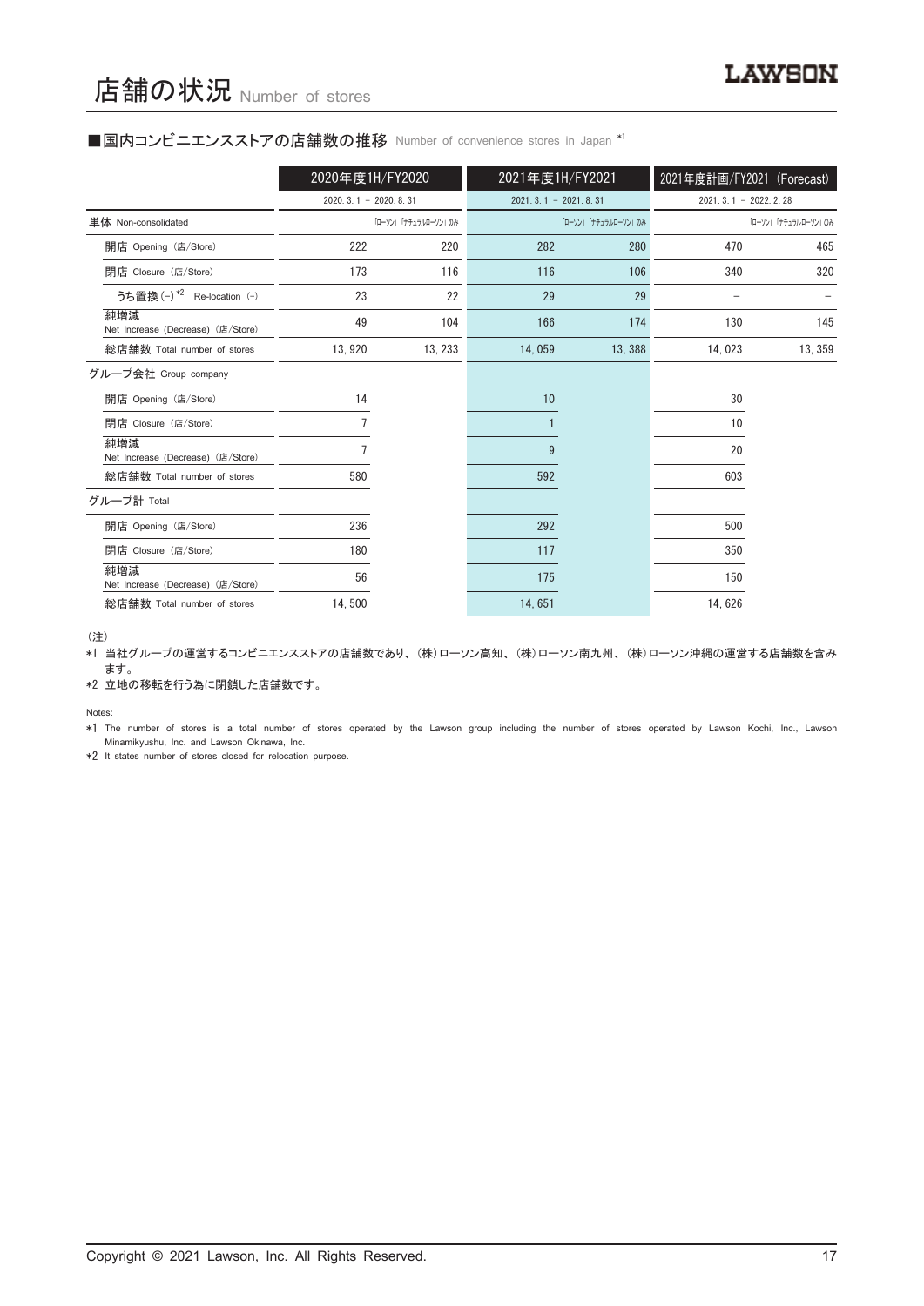#### ■国内コンビニエンスストアの店舗数の推移 Number of convenience stores in Japan \*1

|                                          | 2020年度1H/FY2020        |                     | 2021年度1H/FY2021        |                     | 2021年度計画/FY2021 (Forecast) |                     |
|------------------------------------------|------------------------|---------------------|------------------------|---------------------|----------------------------|---------------------|
|                                          | $2020.3.1 - 2020.8.31$ |                     | $2021.3.1 - 2021.8.31$ |                     | $2021.3.1 - 2022.2.28$     |                     |
| 単体 Non-consolidated                      |                        | 「ローソン」「ナチュラルローソン」のみ |                        | 「ローソン」「ナチュラルローソン」のみ |                            | 「ローソン」「ナチュラルローソン」のみ |
| 開店 Opening (店/Store)                     | 222                    | 220                 | 282                    | 280                 | 470                        | 465                 |
| 閉店 Closure (店/Store)                     | 173                    | 116                 | 116                    | 106                 | 340                        | 320                 |
| うち置換 (-) *2 Re-location (-)              | 23                     | 22                  | 29                     | 29                  |                            |                     |
| 純増減<br>Net Increase (Decrease) (店/Store) | 49                     | 104                 | 166                    | 174                 | 130                        | 145                 |
| 総店舗数 Total number of stores              | 13, 920                | 13, 233             | 14,059                 | 13,388              | 14,023                     | 13, 359             |
| グループ会社 Group company                     |                        |                     |                        |                     |                            |                     |
| 開店 Opening (店/Store)                     | 14                     |                     | 10                     |                     | 30                         |                     |
| 閉店 Closure (店/Store)                     |                        |                     |                        |                     | 10                         |                     |
| 純増減<br>Net Increase (Decrease) (店/Store) |                        |                     | 9                      |                     | 20                         |                     |
| 総店舗数 Total number of stores              | 580                    |                     | 592                    |                     | 603                        |                     |
| グループ計 Total                              |                        |                     |                        |                     |                            |                     |
| 開店 Opening (店/Store)                     | 236                    |                     | 292                    |                     | 500                        |                     |
| 閉店 Closure (店/Store)                     | 180                    |                     | 117                    |                     | 350                        |                     |
| 純増減<br>Net Increase (Decrease) (店/Store) | 56                     |                     | 175                    |                     | 150                        |                     |
| 総店舗数 Total number of stores              | 14,500                 |                     | 14,651                 |                     | 14,626                     |                     |

(注)

\*1 当社グループの運営するコンビニエンスストアの店舗数であり、 (株)ローソン高知、 (株)ローソン南九州、 (株)ローソン沖縄の運営する店舗数を含み ます。

\*2 立地の移転を行う為に閉鎖した店舗数です。

Notes:

\*1 The number of stores is a total number of stores operated by the Lawson group including the number of stores operated by Lawson Kochi, Inc., Lawson Minamikyushu, Inc. and Lawson Okinawa, Inc.

\*2 It states number of stores closed for relocation purpose.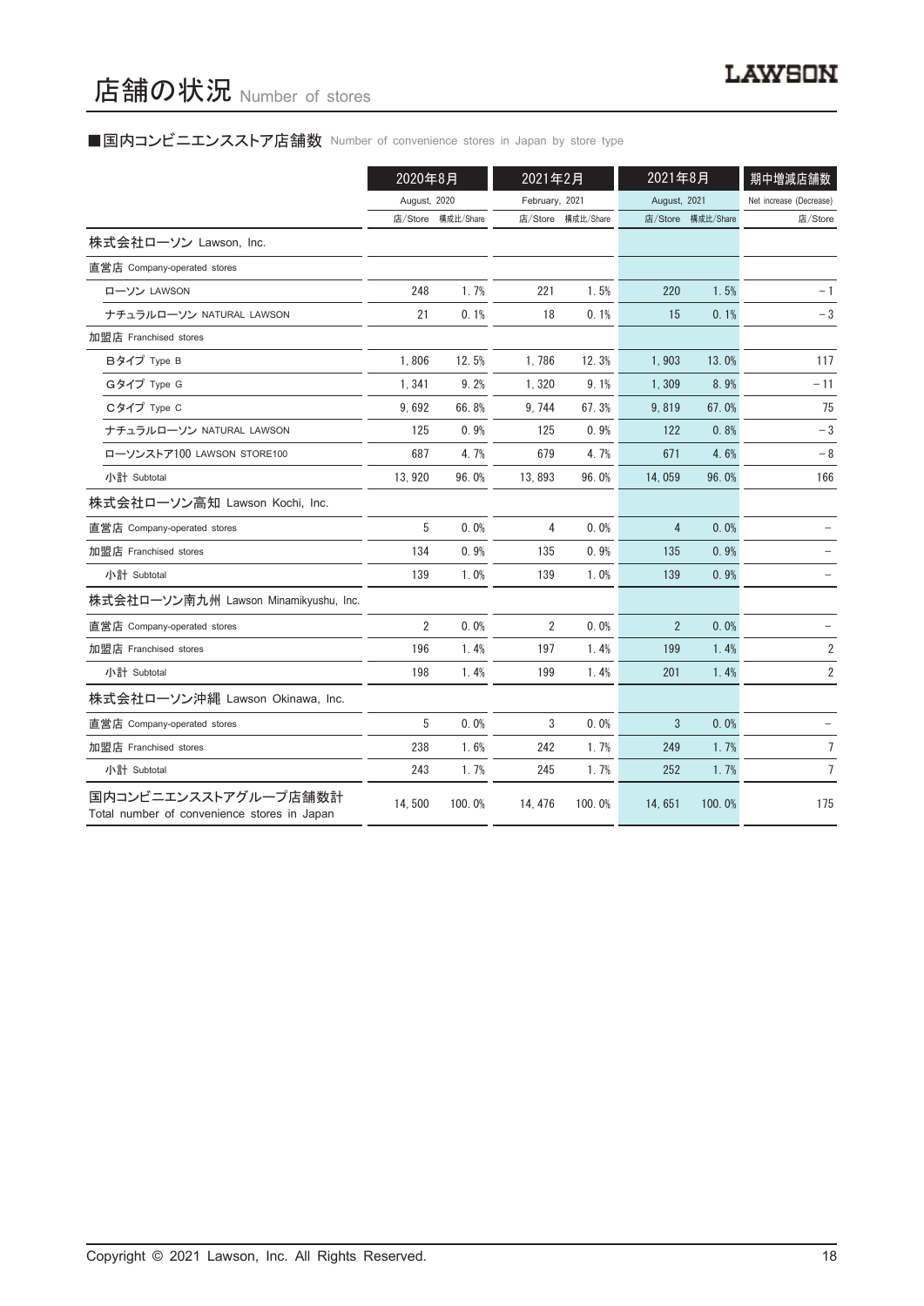## ■国内コンビニエンスストア店舗数 Number of convenience stores in Japan by store type

|                                                                     | 2020年8月        |           | 2021年2月        |                   | 2021年8月        |           | 期中増減店舗数                 |
|---------------------------------------------------------------------|----------------|-----------|----------------|-------------------|----------------|-----------|-------------------------|
|                                                                     | August, 2020   |           | February, 2021 |                   | August, 2021   |           | Net increase (Decrease) |
|                                                                     | 店/Store        | 構成比/Share |                | 店/Store 構成比/Share | 店/Store        | 構成比/Share | 店/Store                 |
| 株式会社ローソン Lawson, Inc.                                               |                |           |                |                   |                |           |                         |
| 直営店 Company-operated stores                                         |                |           |                |                   |                |           |                         |
| ローソン LAWSON                                                         | 248            | 1.7%      | 221            | 1.5%              | 220            | 1.5%      | $-1$                    |
| ナチュラルローソン NATURAL LAWSON                                            | 21             | 0.1%      | 18             | 0.1%              | 15             | 0.1%      | $-3$                    |
| 加盟店 Franchised stores                                               |                |           |                |                   |                |           |                         |
| Bタイプ Type B                                                         | 1.806          | 12.5%     | 1.786          | 12.3%             | 1.903          | 13.0%     | 117                     |
| Gタイプ Type G                                                         | 1.341          | 9.2%      | 1,320          | 9.1%              | 1.309          | 8.9%      | - 11                    |
| Cタイプ Type C                                                         | 9,692          | 66.8%     | 9.744          | 67.3%             | 9,819          | 67.0%     | 75                      |
| ナチュラルローソン NATURAL LAWSON                                            | 125            | 0.9%      | 125            | 0.9%              | 122            | 0.8%      | $-3$                    |
| ローソンストア100 LAWSON STORE100                                          | 687            | 4.7%      | 679            | 4.7%              | 671            | 4.6%      | $-8$                    |
| 小計 Subtotal                                                         | 13,920         | 96.0%     | 13,893         | 96.0%             | 14,059         | 96.0%     | 166                     |
| 株式会社ローソン高知 Lawson Kochi, Inc.                                       |                |           |                |                   |                |           |                         |
| 直営店 Company-operated stores                                         | 5              | 0.0%      | 4              | 0.0%              | 4              | 0.0%      |                         |
| 加盟店 Franchised stores                                               | 134            | 0.9%      | 135            | 0.9%              | 135            | 0.9%      |                         |
| 小計 Subtotal                                                         | 139            | 1.0%      | 139            | 1.0%              | 139            | 0.9%      |                         |
| 株式会社ローソン南九州 Lawson Minamikyushu, Inc.                               |                |           |                |                   |                |           |                         |
| 直営店 Company-operated stores                                         | $\overline{2}$ | 0.0%      | 2              | 0.0%              | $\overline{2}$ | 0.0%      |                         |
| 加盟店 Franchised stores                                               | 196            | 1.4%      | 197            | 1.4%              | 199            | 1.4%      | $\sqrt{2}$              |
| 小計 Subtotal                                                         | 198            | 1.4%      | 199            | 1.4%              | 201            | 1.4%      | $\overline{\mathbf{c}}$ |
| 株式会社ローソン沖縄 Lawson Okinawa, Inc.                                     |                |           |                |                   |                |           |                         |
| 直営店 Company-operated stores                                         | 5              | 0.0%      | 3              | 0.0%              | 3              | 0.0%      |                         |
| 加盟店 Franchised stores                                               | 238            | 1.6%      | 242            | 1.7%              | 249            | 1.7%      | 7                       |
| 小計 Subtotal                                                         | 243            | 1.7%      | 245            | 1.7%              | 252            | 1.7%      | $\overline{7}$          |
| 国内コンビニエンスストアグループ店舗数計<br>Total number of convenience stores in Japan | 14,500         | 100.0%    | 14, 476        | 100.0%            | 14,651         | 100.0%    | 175                     |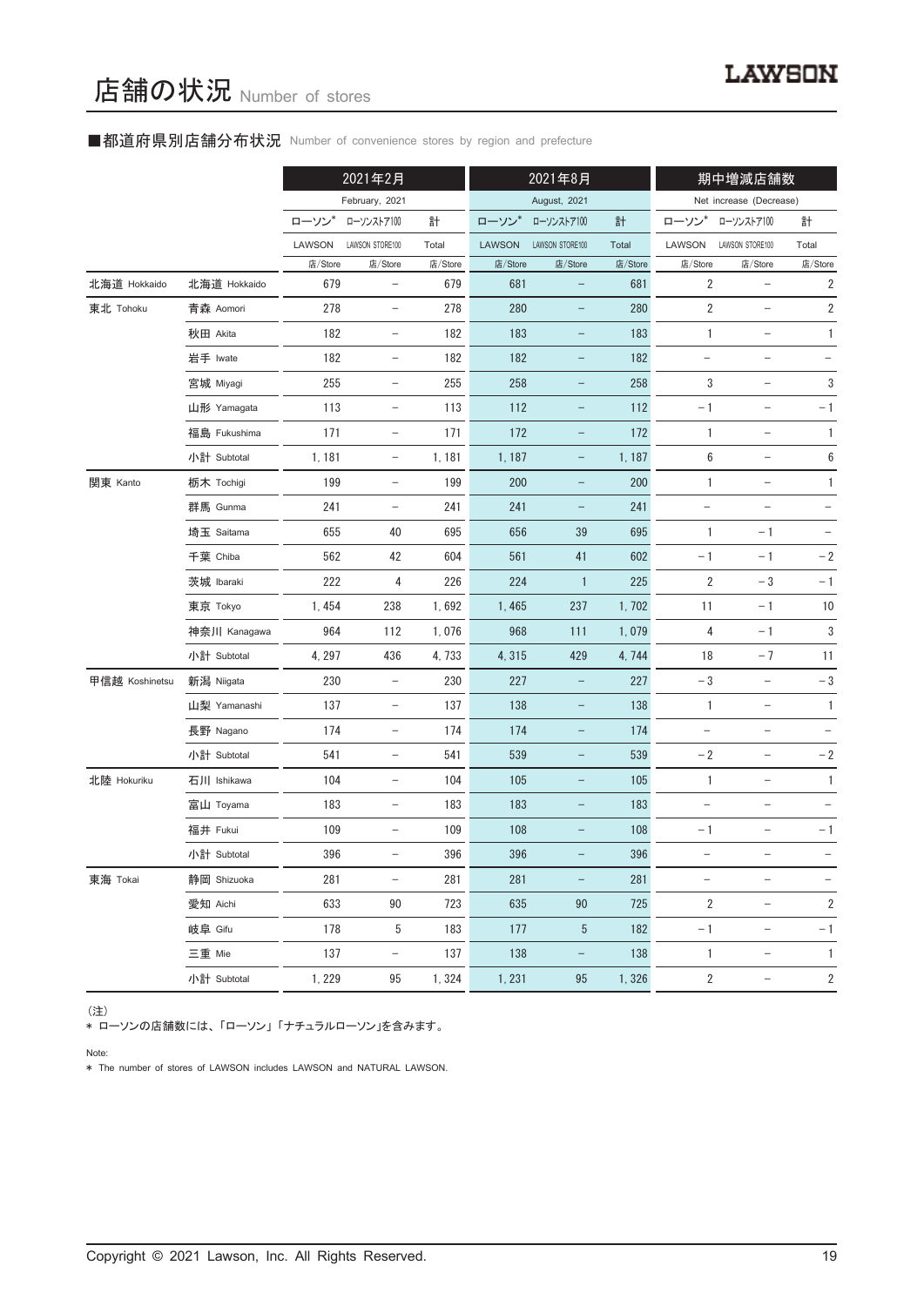#### ■都道府県別店舗分布状況 Number of convenience stores by region and prefecture

|                |              | 2021年2月 |                          |         | 2021年8月       |                          |         | 期中増減店舗数                  |                          |                         |
|----------------|--------------|---------|--------------------------|---------|---------------|--------------------------|---------|--------------------------|--------------------------|-------------------------|
|                |              |         | February, 2021           |         |               | August, 2021             |         |                          | Net increase (Decrease)  |                         |
|                |              | ローソン    | ローソンストア100               | 計       | ローソン*         | ローソンストア100               | 計       | ローソン                     | ローソンストア100               | 計                       |
|                |              | LAWSON  | LAWSON STORE100          | Total   | <b>LAWSON</b> | LAWSON STORE100          | Total   | LAWSON                   | LAWSON STORE100          | Total                   |
|                |              | 店/Store | 店/Store                  | 店/Store | 店/Store       | 店/Store                  | 店/Store | 店/Store                  | 店/Store                  | 店/Store                 |
| 北海道 Hokkaido   | 北海道 Hokkaido | 679     | $\overline{\phantom{a}}$ | 679     | 681           |                          | 681     | $\overline{2}$           | $\qquad \qquad -$        | $\sqrt{2}$              |
| 東北 Tohoku      | 青森 Aomori    | 278     | $\qquad \qquad -$        | 278     | 280           |                          | 280     | $\sqrt{2}$               | $\qquad \qquad -$        | $\sqrt{2}$              |
|                | 秋田 Akita     | 182     | $\overline{\phantom{a}}$ | 182     | 183           | $\qquad \qquad -$        | 183     | 1                        | $\qquad \qquad -$        | 1                       |
|                | 岩手 Iwate     | 182     | $\qquad \qquad -$        | 182     | 182           | -                        | 182     |                          |                          |                         |
|                | 宮城 Miyagi    | 255     | $\qquad \qquad -$        | 255     | 258           |                          | 258     | 3                        | $\qquad \qquad -$        | 3                       |
|                | 山形 Yamagata  | 113     | $\overline{\phantom{a}}$ | 113     | 112           | -                        | 112     | $-1$                     | $\qquad \qquad -$        | $-1$                    |
|                | 福島 Fukushima | 171     | $\overline{\phantom{a}}$ | 171     | 172           | $\qquad \qquad -$        | 172     | $\mathbf{1}$             | $\qquad \qquad -$        | 1                       |
|                | 小計 Subtotal  | 1, 181  | $\overline{\phantom{a}}$ | 1,181   | 1, 187        | $\qquad \qquad -$        | 1, 187  | 6                        | $\qquad \qquad -$        | $\boldsymbol{6}$        |
| 関東 Kanto       | 栃木 Tochigi   | 199     | $\overline{\phantom{a}}$ | 199     | 200           | $\qquad \qquad -$        | 200     | $\mathbf{1}$             | $\overline{\phantom{a}}$ | 1                       |
|                | 群馬 Gunma     | 241     | $\qquad \qquad -$        | 241     | 241           | -                        | 241     |                          |                          |                         |
|                | 埼玉 Saitama   | 655     | 40                       | 695     | 656           | 39                       | 695     | 1                        | $-1$                     |                         |
|                | 千葉 Chiba     | 562     | 42                       | 604     | 561           | 41                       | 602     | $-1$                     | $-1$                     | $-2$                    |
|                | 茨城 Ibaraki   | 222     | 4                        | 226     | 224           | $\mathbf{1}$             | 225     | $\sqrt{2}$               | $-3$                     | $-1$                    |
|                | 東京 Tokyo     | 1,454   | 238                      | 1,692   | 1,465         | 237                      | 1,702   | 11                       | $-1$                     | 10                      |
|                | 神奈川 Kanagawa | 964     | 112                      | 1,076   | 968           | 111                      | 1,079   | 4                        | $-1$                     | 3                       |
|                | 小計 Subtotal  | 4, 297  | 436                      | 4,733   | 4,315         | 429                      | 4,744   | 18                       | $-7$                     | 11                      |
| 甲信越 Koshinetsu | 新潟 Niigata   | 230     | $\qquad \qquad -$        | 230     | 227           | -                        | 227     | $-3$                     | $\overline{\phantom{0}}$ | $-3$                    |
|                | 山梨 Yamanashi | 137     | $\overline{\phantom{a}}$ | 137     | 138           | -                        | 138     | $\mathbf{1}$             | $\overline{\phantom{a}}$ | $\mathbf{1}$            |
|                | 長野 Nagano    | 174     | $\overline{\phantom{a}}$ | 174     | 174           | $\overline{\phantom{0}}$ | 174     | $\overline{\phantom{m}}$ | $\qquad \qquad -$        |                         |
|                | 小計 Subtotal  | 541     | $\overline{\phantom{a}}$ | 541     | 539           | -                        | 539     | $-2$                     | $\qquad \qquad -$        | $-2$                    |
| 北陸 Hokuriku    | 石川 Ishikawa  | 104     | $\overline{\phantom{a}}$ | 104     | 105           | $\qquad \qquad -$        | 105     | $\mathbf{1}$             | $\qquad \qquad -$        | 1                       |
|                | 富山 Toyama    | 183     | $\qquad \qquad -$        | 183     | 183           |                          | 183     | $\qquad \qquad -$        |                          |                         |
|                | 福井 Fukui     | 109     | $\overline{\phantom{0}}$ | 109     | 108           |                          | 108     | $-1$                     |                          | $-1$                    |
|                | 小計 Subtotal  | 396     | $\overline{\phantom{a}}$ | 396     | 396           |                          | 396     |                          |                          |                         |
| 東海 Tokai       | 静岡 Shizuoka  | 281     | $\overline{\phantom{a}}$ | 281     | 281           | $\qquad \qquad -$        | 281     | $\qquad \qquad -$        | $\qquad \qquad -$        | $\qquad \qquad -$       |
|                | 愛知 Aichi     | 633     | 90                       | 723     | 635           | 90                       | 725     | $\sqrt{2}$               | $\qquad \qquad -$        | $\overline{\mathbf{c}}$ |
|                | 岐阜 Gifu      | 178     | 5                        | 183     | 177           | 5                        | 182     | $-1$                     | $\overline{\phantom{a}}$ | $-1$                    |
|                | 三重 Mie       | 137     | $\overline{\phantom{a}}$ | 137     | 138           | $\qquad \qquad -$        | 138     | $\mathbf{1}$             | $\qquad \qquad -$        | 1                       |
|                | 小計 Subtotal  | 1, 229  | 95                       | 1,324   | 1, 231        | 95                       | 1,326   | $\sqrt{2}$               | $\overline{\phantom{a}}$ | $\overline{c}$          |

(注)

\* ローソンの店舗数には、 「ローソン」 「ナチュラルローソン」を含みます。

Note:

\* The number of stores of LAWSON includes LAWSON and NATURAL LAWSON.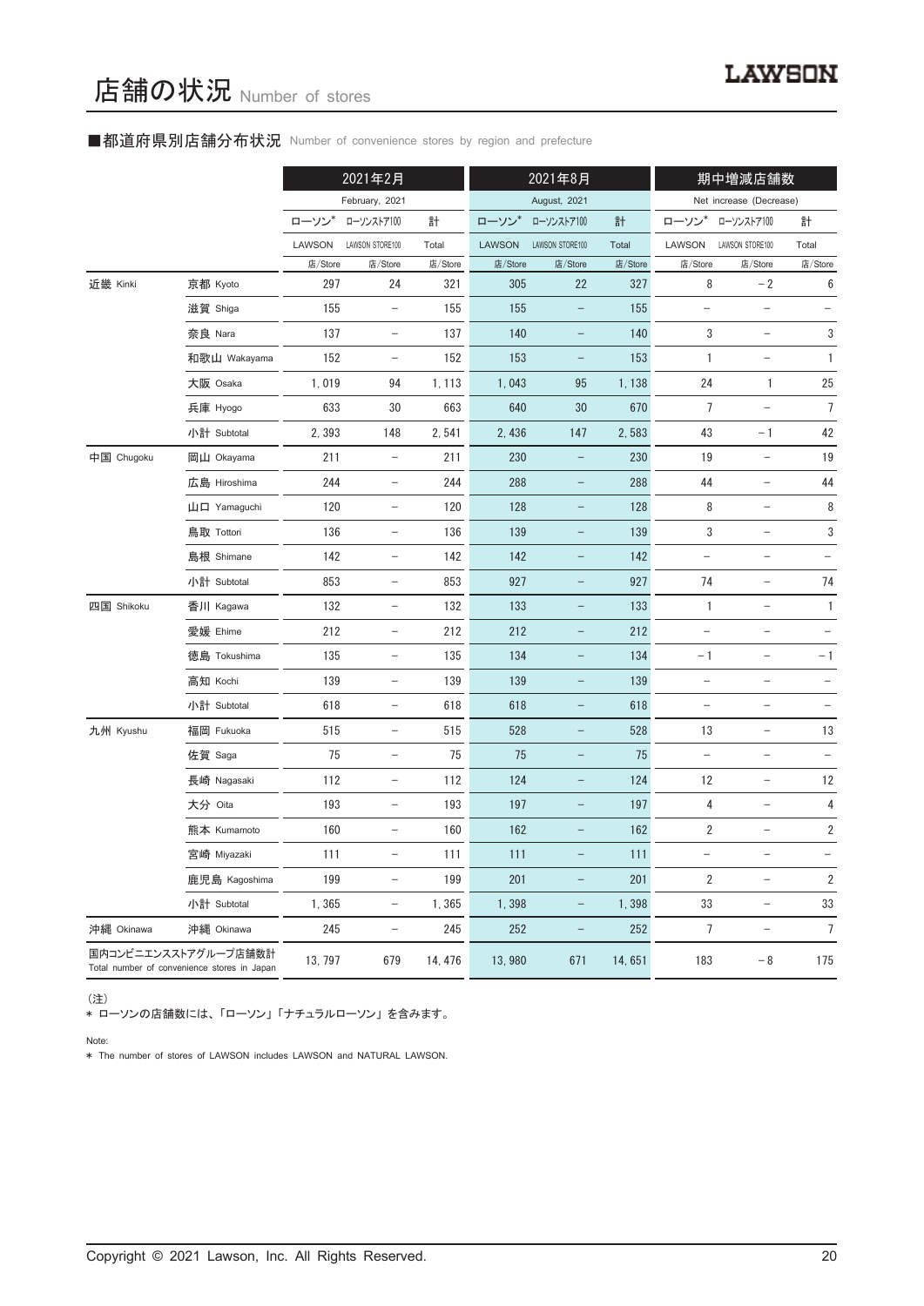#### ■都道府県別店舗分布状況 Number of convenience stores by region and prefecture

|            |                                                                     |         | 2021年2月                  |         |               | 2021年8月                  |         |                          | 期中増減店舗数                  |                          |
|------------|---------------------------------------------------------------------|---------|--------------------------|---------|---------------|--------------------------|---------|--------------------------|--------------------------|--------------------------|
|            |                                                                     |         | February, 2021           |         |               | August, 2021             |         |                          | Net increase (Decrease)  |                          |
|            |                                                                     | ローソン    | ローソンストア100               | 計       | ローソン          | ローソンストア100               | 計       | ローソン*                    | ローソンストア100               | 計                        |
|            |                                                                     | LAWSON  | LAWSON STORE100          | Total   | <b>LAWSON</b> | LAWSON STORE100          | Total   | LAWSON                   | LAWSON STORE100          | Total                    |
|            |                                                                     | 店/Store | 店/Store                  | 店/Store | 店/Store       | 店/Store                  | 店/Store | 店/Store                  | 店/Store                  | 店/Store                  |
| 近畿 Kinki   | 京都 Kyoto                                                            | 297     | 24                       | 321     | 305           | 22                       | 327     | 8                        | $-2$                     | 6                        |
|            | 滋賀 Shiga                                                            | 155     | $\overline{\phantom{a}}$ | 155     | 155           | $\qquad \qquad -$        | 155     | $\qquad \qquad -$        | $\qquad \qquad -$        |                          |
|            | 奈良 Nara                                                             | 137     | $\overline{\phantom{a}}$ | 137     | 140           | $\qquad \qquad -$        | 140     | 3                        | $\overline{\phantom{a}}$ | 3                        |
|            | 和歌山 Wakayama                                                        | 152     | $\overline{\phantom{a}}$ | 152     | 153           | $\qquad \qquad -$        | 153     | 1                        | $\qquad \qquad -$        | 1                        |
|            | 大阪 Osaka                                                            | 1,019   | 94                       | 1, 113  | 1,043         | 95                       | 1,138   | 24                       | 1                        | 25                       |
|            | 兵庫 Hyogo                                                            | 633     | 30                       | 663     | 640           | 30                       | 670     | 7                        | $\overline{\phantom{0}}$ | 7                        |
|            | 小計 Subtotal                                                         | 2,393   | 148                      | 2,541   | 2,436         | 147                      | 2,583   | 43                       | $-1$                     | 42                       |
| 中国 Chugoku | 岡山 Okayama                                                          | 211     | $\overline{\phantom{a}}$ | 211     | 230           | $\qquad \qquad -$        | 230     | 19                       | $\overline{\phantom{a}}$ | 19                       |
|            | 広島 Hiroshima                                                        | 244     | $\overline{\phantom{a}}$ | 244     | 288           | $\qquad \qquad -$        | 288     | 44                       | $\overline{\phantom{a}}$ | 44                       |
|            | 山口 Yamaguchi                                                        | 120     | $\overline{\phantom{a}}$ | 120     | 128           | $\qquad \qquad -$        | 128     | 8                        | $\overline{\phantom{0}}$ | 8                        |
|            | 鳥取 Tottori                                                          | 136     | $\overline{\phantom{a}}$ | 136     | 139           | $\qquad \qquad -$        | 139     | 3                        | $\qquad \qquad -$        | 3                        |
|            | 島根 Shimane                                                          | 142     | $\overline{\phantom{a}}$ | 142     | 142           | $\qquad \qquad -$        | 142     | $\overline{\phantom{0}}$ | $\qquad \qquad -$        |                          |
|            | 小計 Subtotal                                                         | 853     | $\overline{\phantom{a}}$ | 853     | 927           | $\qquad \qquad -$        | 927     | 74                       | $\qquad \qquad -$        | 74                       |
| 四国 Shikoku | 香川 Kagawa                                                           | 132     | $\overline{\phantom{a}}$ | 132     | 133           | -                        | 133     | $\mathbf{1}$             | $\qquad \qquad -$        | $\mathbf{1}$             |
|            | 愛媛 Ehime                                                            | 212     | $\overline{\phantom{a}}$ | 212     | 212           | $\qquad \qquad -$        | 212     | $\overline{\phantom{a}}$ | $\qquad \qquad -$        |                          |
|            | 徳島 Tokushima                                                        | 135     | $\overline{\phantom{a}}$ | 135     | 134           | $\qquad \qquad -$        | 134     | $-1$                     | -                        | $-1$                     |
|            | 高知 Kochi                                                            | 139     | $\overline{\phantom{a}}$ | 139     | 139           | $\qquad \qquad -$        | 139     | $\qquad \qquad -$        | $\qquad \qquad -$        |                          |
|            | 小計 Subtotal                                                         | 618     | $\overline{\phantom{a}}$ | 618     | 618           | $\overline{\phantom{a}}$ | 618     | $\overline{\phantom{a}}$ | $\overline{\phantom{0}}$ | $\overline{\phantom{a}}$ |
| 九州 Kyushu  | 福岡 Fukuoka                                                          | 515     | $\overline{\phantom{a}}$ | 515     | 528           | $\qquad \qquad -$        | 528     | 13                       | $\qquad \qquad -$        | 13                       |
|            | 佐賀 Saga                                                             | 75      | $\overline{\phantom{a}}$ | 75      | 75            | $\qquad \qquad -$        | 75      | $\qquad \qquad -$        | $\qquad \qquad -$        |                          |
|            | 長崎 Nagasaki                                                         | 112     | $\overline{\phantom{a}}$ | 112     | 124           | $\qquad \qquad -$        | 124     | 12                       | $\overline{\phantom{a}}$ | 12                       |
|            | 大分 Oita                                                             | 193     | $\qquad \qquad -$        | 193     | 197           | -                        | 197     | 4                        | $\qquad \qquad -$        | 4                        |
|            | 熊本 Kumamoto                                                         | 160     | $\overline{\phantom{a}}$ | 160     | 162           |                          | 162     | 2                        |                          | 2                        |
|            | 宮崎 Miyazaki                                                         | 111     | $\overline{\phantom{a}}$ | 111     | 111           |                          | 111     | -                        | -                        |                          |
|            | 鹿児島 Kagoshima                                                       | 199     | $\overline{\phantom{0}}$ | 199     | 201           | $\qquad \qquad -$        | 201     | 2                        | $\qquad \qquad -$        | 2                        |
|            | 小計 Subtotal                                                         | 1,365   | $\overline{\phantom{a}}$ | 1,365   | 1,398         | -                        | 1,398   | 33                       | $\qquad \qquad -$        | $33\,$                   |
| 沖縄 Okinawa | 沖縄 Okinawa                                                          | 245     | -                        | 245     | 252           | -                        | 252     | $\overline{7}$           | $\overline{\phantom{a}}$ | $\overline{7}$           |
|            | 国内コンビニエンスストアグループ店舗数計<br>Total number of convenience stores in Japan | 13, 797 | 679                      | 14, 476 | 13,980        | 671                      | 14,651  | 183                      | $-8$                     | 175                      |

(注)

\* ローソンの店舗数には、 「ローソン」 「ナチュラルローソン」 を含みます。

Note:

\* The number of stores of LAWSON includes LAWSON and NATURAL LAWSON.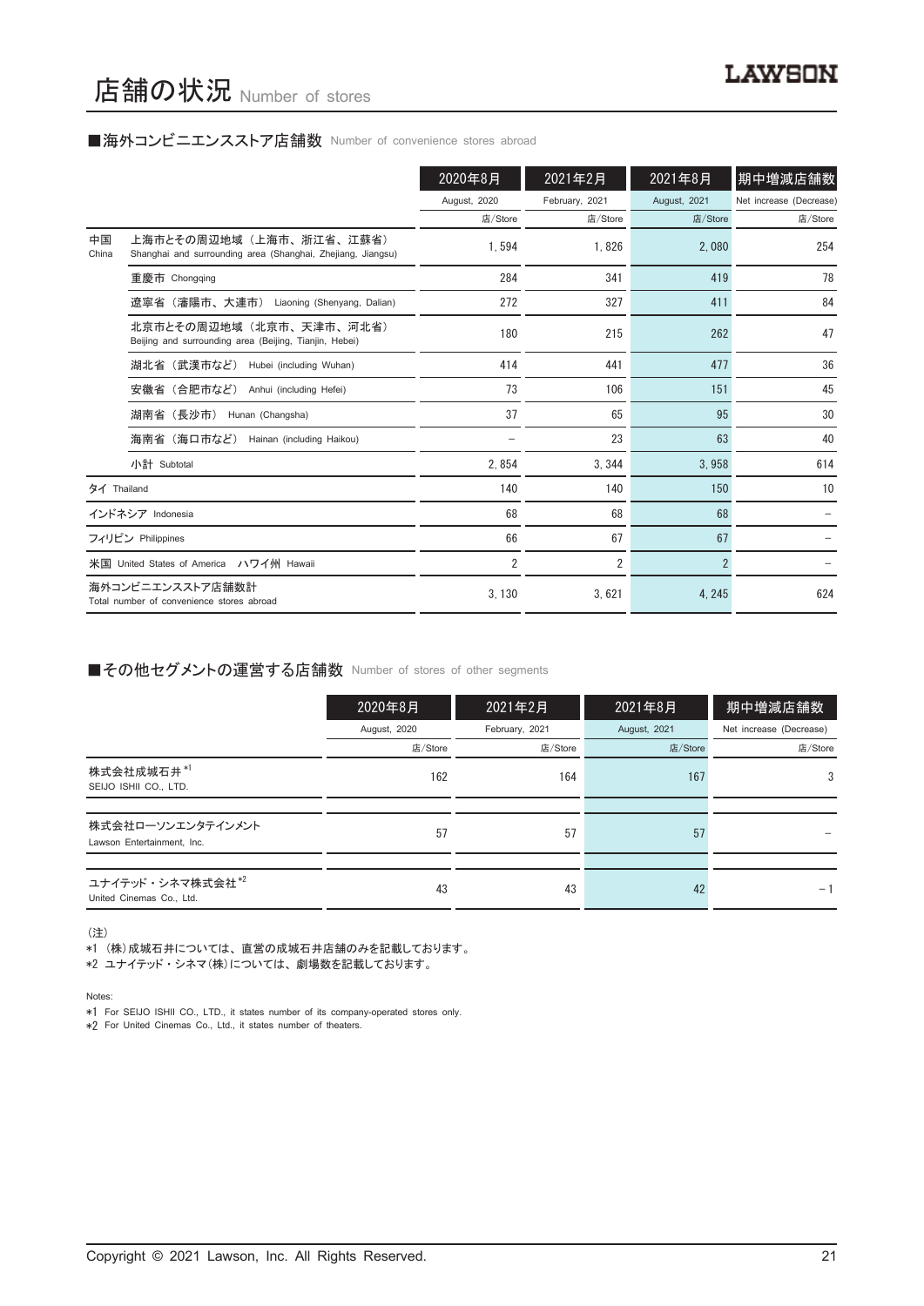#### ■海外コンビニエンスストア店舗数 Number of convenience stores abroad

|             |                                                                                        | 2020年8月                  | 2021年2月        | 2021年8月        | 期中増減店舗数                 |
|-------------|----------------------------------------------------------------------------------------|--------------------------|----------------|----------------|-------------------------|
|             |                                                                                        | August, 2020             | February, 2021 | August, 2021   | Net increase (Decrease) |
|             |                                                                                        | 店/Store                  | 店/Store        | 店/Store        | 店/Store                 |
| 中国<br>China | 上海市とその周辺地域(上海市、浙江省、江蘇省)<br>Shanghai and surrounding area (Shanghai, Zhejiang, Jiangsu) | 1.594                    | 1.826          | 2.080          | 254                     |
|             | 重慶市 Chongqing                                                                          | 284                      | 341            | 419            | 78                      |
|             | 遼寧省(瀋陽市、大連市) Liaoning (Shenyang, Dalian)                                               | 272                      | 327            | 411            | 84                      |
|             | 北京市とその周辺地域(北京市、天津市、河北省)<br>Beijing and surrounding area (Beijing, Tianjin, Hebei)      | 180                      | 215            | 262            | 47                      |
|             | 湖北省 (武漢市など)<br>Hubei (including Wuhan)                                                 | 414                      | 441            | 477            | 36                      |
|             | 安徽省(合肥市など)<br>Anhui (including Hefei)                                                  | 73                       | 106            | 151            | 45                      |
|             | 湖南省(長沙市)<br>Hunan (Changsha)                                                           | 37                       | 65             | 95             | 30                      |
|             | 海南省(海口市など)<br>Hainan (including Haikou)                                                | $\overline{\phantom{0}}$ | 23             | 63             | 40                      |
|             | 小計 Subtotal                                                                            | 2.854                    | 3.344          | 3.958          | 614                     |
| タイ Thailand |                                                                                        | 140                      | 140            | 150            | 10                      |
|             | インドネシア Indonesia                                                                       | 68                       | 68             | 68             |                         |
|             | フィリピン Philippines                                                                      | 66                       | 67             | 67             |                         |
|             | 米国 United States of America ハワイ州 Hawaii                                                | $\overline{2}$           | 2              | $\overline{2}$ |                         |
|             | 海外コンビニエンスストア店舗数計<br>Total number of convenience stores abroad                          | 3.130                    | 3,621          | 4, 245         | 624                     |

#### ■その他セグメントの運営する店舗数 Number of stores of other segments

|                                                 | 2020年8月      | 2021年2月        | 2021年8月      | 期中増減店舗数                 |
|-------------------------------------------------|--------------|----------------|--------------|-------------------------|
|                                                 | August, 2020 | February, 2021 | August, 2021 | Net increase (Decrease) |
|                                                 | 店/Store      | 店/Store        | 店/Store      | 店/Store                 |
| 株式会社成城石井*1<br>SEIJO ISHII CO., LTD.             | 162          | 164            | 167          | 3                       |
|                                                 |              |                |              |                         |
| 株式会社ローソンエンタテインメント<br>Lawson Entertainment, Inc. | 57           | 57             | 57           |                         |
|                                                 |              |                |              |                         |
| ユナイテッド・シネマ株式会社*2<br>United Cinemas Co., Ltd.    | 43           | 43             | 42           | - 1                     |

(注)

- \*1 (株)成城石井については、 直営の成城石井店舗のみを記載しております。
- \*2 ユナイテッド ・ シネマ(株)については、 劇場数を記載しております。

Notes:

\*1 For SEIJO ISHII CO., LTD., it states number of its company-operated stores only.

\*2 For United Cinemas Co., Ltd., it states number of theaters.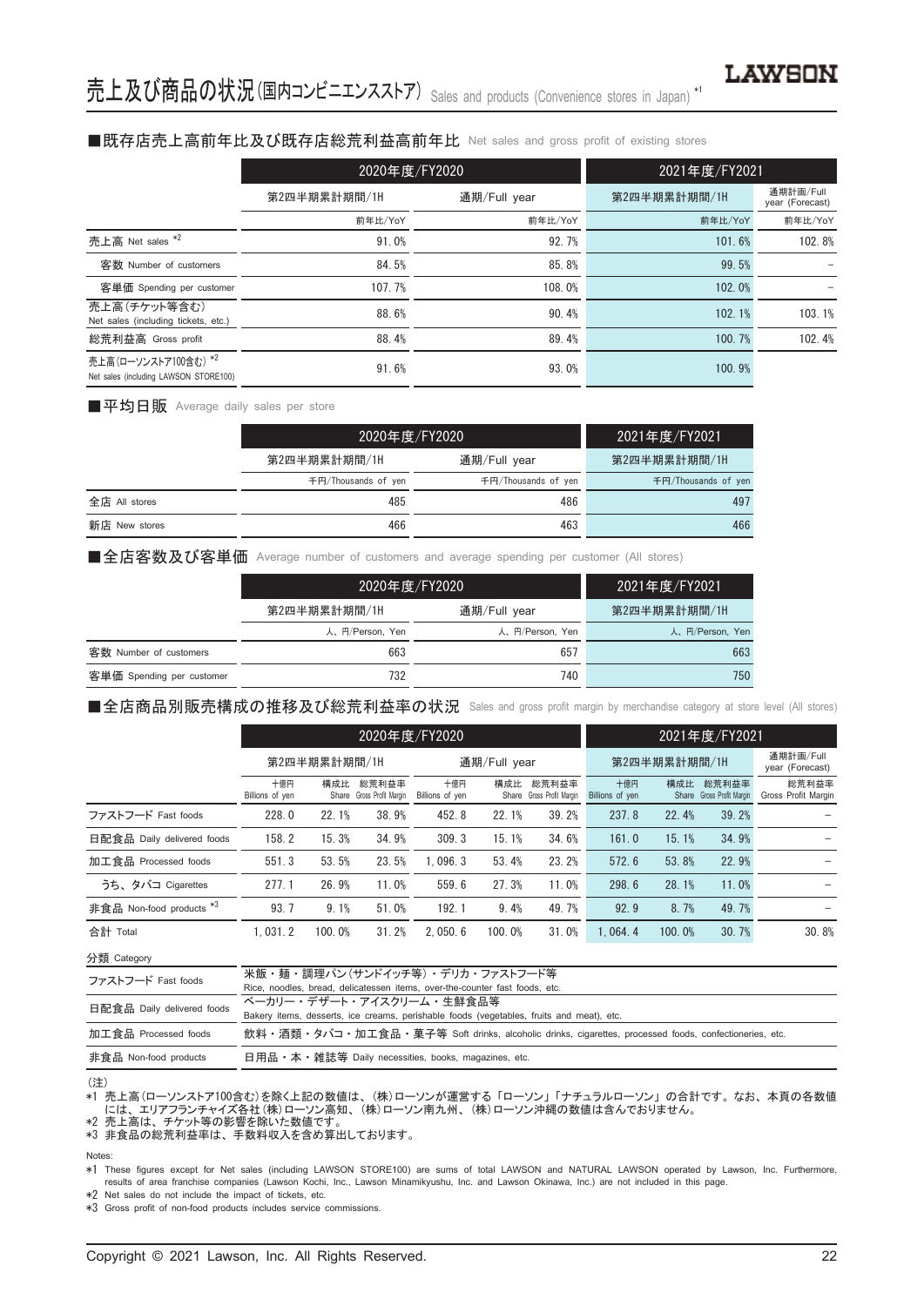#### ■既存店売上高前年比及び既存店総荒利益高前年比 Net sales and gross profit of existing stores

|                                                               | 2020年度/FY2020 |              | 2021年度/FY2021 |                              |  |
|---------------------------------------------------------------|---------------|--------------|---------------|------------------------------|--|
|                                                               | 第2四半期累計期間/1H  | 通期/Full year | 第2四半期累計期間/1H  | 通期計画/Full<br>year (Forecast) |  |
|                                                               | 前年比/YoY       | 前年比/YoY      | 前年比/YoY       | 前年比/YoY                      |  |
| 売上高 Net sales *2                                              | 91.0%         | 92.7%        | 101.6%        | 102.8%                       |  |
| 客数 Number of customers                                        | 84.5%         | 85.8%        | 99.5%         |                              |  |
| 客単価 Spending per customer                                     | 107.7%        | 108.0%       | 102.0%        |                              |  |
| 売上高(チケット等含む)<br>Net sales (including tickets, etc.)           | 88.6%         | 90.4%        | 102.1%        | 103.1%                       |  |
| 総荒利益高 Gross profit                                            | 88.4%         | 89.4%        | 100.7%        | 102.4%                       |  |
| 売上高(ローソンストア100含む) *2<br>Net sales (including LAWSON STORE100) | 91.6%         | 93.0%        | 100.9%        |                              |  |

■平均日販 Average daily sales per store

|               | 2020年度/FY2020       | 2021年度/FY2021       |                     |
|---------------|---------------------|---------------------|---------------------|
|               | 第2四半期累計期間/1H        | 通期/Full year        | 第2四半期累計期間/1H        |
|               | 千円/Thousands of ven | 千円/Thousands of yen | 千円/Thousands of yen |
| 全店 All stores | 485                 | 486                 | 497                 |
| 新店 New stores | 466                 | 463                 | 466                 |

■全店客数及び客単価 Average number of customers and average spending per customer (All stores)

|                           | 2020年度/FY2020   | 2021年度/FY2021   |                 |
|---------------------------|-----------------|-----------------|-----------------|
|                           | 第2四半期累計期間/1H    | 通期/Full year    | 第2四半期累計期間/1H    |
|                           | 人、円/Person, Yen | 人、円/Person, Yen | 人、円/Person, Yen |
| 客数 Number of customers    | 663             | 657             | 663             |
| 客単価 Spending per customer | 732             | 740             | 750             |

■全店商品別販売構成の推移及び総荒利益率の状況 Sales and gross profit margin by merchandise category at store level (All stores)

|                                     | 2020年度/FY2020          |        |                                    |                        |              | 2021年度/FY2021                      |                        |                              |                                    |                              |
|-------------------------------------|------------------------|--------|------------------------------------|------------------------|--------------|------------------------------------|------------------------|------------------------------|------------------------------------|------------------------------|
|                                     | 第2四半期累計期間/1H           |        | 通期/Full year                       |                        | 第2四半期累計期間/1H |                                    |                        | 通期計画/Full<br>year (Forecast) |                                    |                              |
|                                     | 十億円<br>Billions of yen | 構成比    | 総荒利益率<br>Share Gross Profit Margin | 十億円<br>Billions of yen | 構成比          | 総荒利益率<br>Share Gross Profit Margin | 十億円<br>Billions of yen | 構成比                          | 総荒利益率<br>Share Gross Profit Margin | 総荒利益率<br>Gross Profit Margin |
| ファストフード Fast foods                  | 228.0                  | 22.1%  | 38.9%                              | 452.8                  | 22.1%        | 39.2%                              | 237.8                  | 22.4%                        | 39.2%                              |                              |
| 日配食品 Daily delivered foods          | 158.2                  | 15.3%  | 34.9%                              | 309.3                  | 15.1%        | 34.6%                              | 161.0                  | 15.1%                        | 34.9%                              |                              |
| 加工食品 Processed foods                | 551.3                  | 53.5%  | 23.5%                              | 1.096.3                | 53.4%        | 23.2%                              | 572.6                  | 53.8%                        | 22.9%                              |                              |
| うち、タバコ Cigarettes                   | 277.1                  | 26.9%  | 11.0%                              | 559.6                  | 27.3%        | 11.0%                              | 298.6                  | 28.1%                        | 11.0%                              |                              |
| 非食品 Non-food products <sup>*3</sup> | 93.7                   | 9.1%   | 51.0%                              | 192.1                  | 9.4%         | 49.7%                              | 92.9                   | 8.7%                         | 49.7%                              |                              |
| 合計 Total                            | 1.031.2                | 100.0% | 31.2%                              | 2.050.6                | 100.0%       | 31.0%                              | 1.064.4                | 100.0%                       | 30.7%                              | 30.8%                        |

分類 Category

| 飲料・酒類・タバコ・加工食品・菓子等 Soft drinks, alcoholic drinks, cigarettes, processed foods, confectioneries, etc. |
|------------------------------------------------------------------------------------------------------|
|                                                                                                      |
|                                                                                                      |

#### (注)

\*1 売上高(ローソンストア100含む)を除く上記の数値は、 (株)ローソンが運営する 「ローソン」 「ナチュラルローソン」 の合計です。 なお、 本頁の各数値 には、 エリアフランチャイズ各社(株)ローソン高知、 (株)ローソン南九州、 (株)ローソン沖縄の数値は含んでおりません。 \*2 売上高は、 チケット等の影響を除いた数値です。

\*3 非食品の総荒利益率は、 手数料収入を含め算出しております。

#### Notes:

\*1 These figures except for Net sales (including LAWSON STORE100) are sums of total LAWSON and NATURAL LAWSON operated by Lawson, Inc. Furthermore, results of area franchise companies (Lawson Kochi, Inc., Lawson Minamikyushu, Inc. and Lawson Okinawa, Inc.) are not included in this page.

\*2 Net sales do not include the impact of tickets, etc.

\*3 Gross profit of non-food products includes service commissions.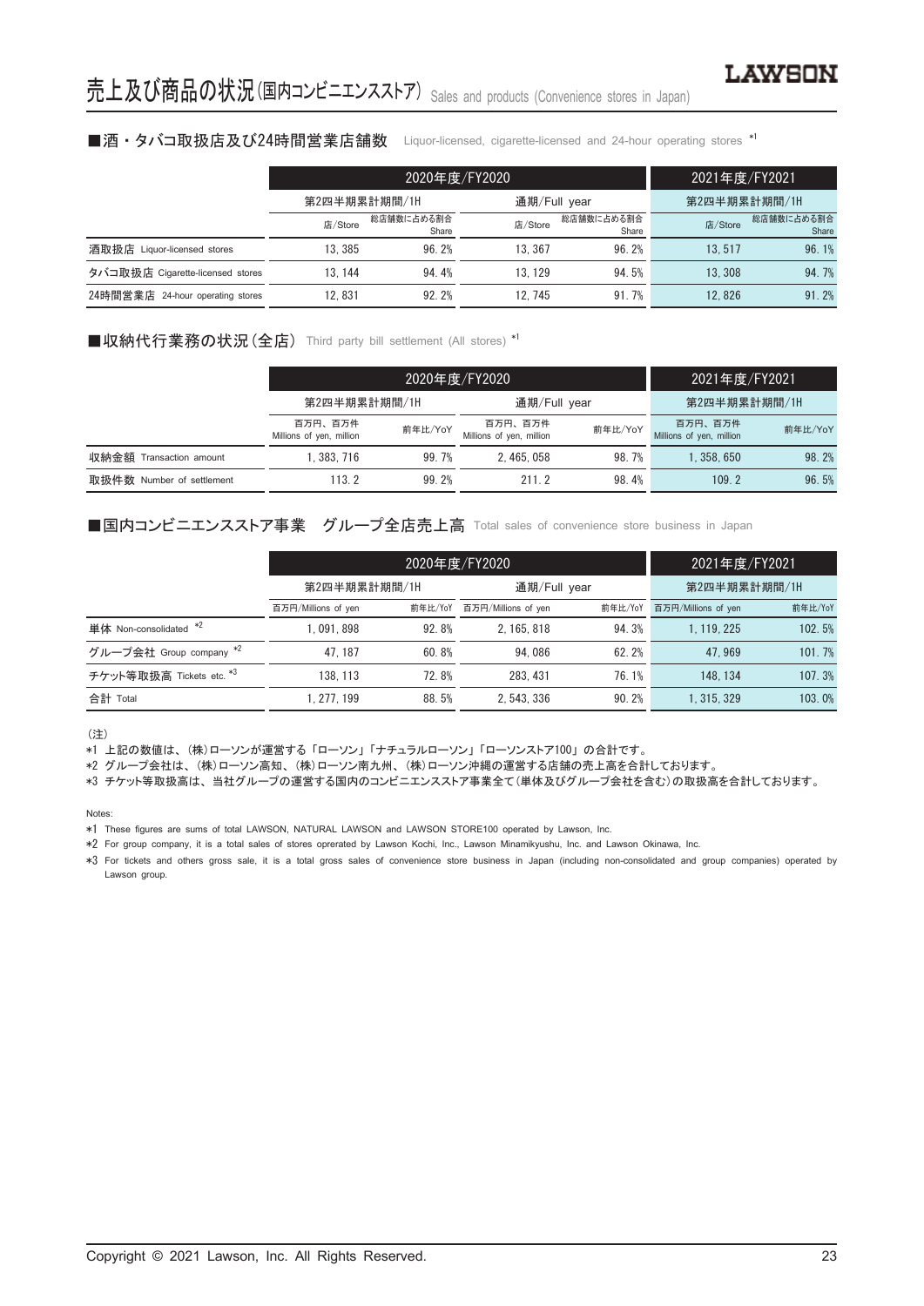#### ■酒・タバコ取扱店及び24時間営業店舗数 Liquor-licensed, cigarette-licensed and 24-hour operating stores \*1

|                                  |              | 2020年度/FY2020       | 2021年度/FY2021 |                                |              |                     |
|----------------------------------|--------------|---------------------|---------------|--------------------------------|--------------|---------------------|
|                                  | 第2四半期累計期間/1H |                     | 通期/Full year  |                                | 第2四半期累計期間/1H |                     |
|                                  | 店/Store      | 総店舗数に占める割合<br>Share |               | 総店舗数に占める割合<br>店/Store<br>Share |              | 総店舗数に占める割合<br>Share |
| 酒取扱店 Liquor-licensed stores      | 13.385       | 96.2%               | 13.367        | 96.2%                          | 13.517       | 96.1%               |
| タバコ取扱店 Cigarette-licensed stores | 13.144       | 94.4%               | 13.129        | 94.5%                          | 13.308       | 94.7%               |
| 24時間営業店 24-hour operating stores | 12.831       | 92.2%               | 12.745        | 91.7%                          | 12.826       | 91.2%               |

#### ■収納代行業務の状況 (全店) Third party bill settlement (All stores) \*1

|                           |                                     | 2020年度/FY2020 | 2021年度/FY2021                                  |       |                                     |         |
|---------------------------|-------------------------------------|---------------|------------------------------------------------|-------|-------------------------------------|---------|
|                           | 第2四半期累計期間/1H                        |               | 通期/Full year                                   |       | 第2四半期累計期間/1H                        |         |
|                           | 百万円、百万件<br>Millions of yen, million | 前年比/YoY       | 百万円、百万件<br>前年比/YoY<br>Millions of yen, million |       | 百万円、百万件<br>Millions of yen, million | 前年比/YoY |
| 収納金額 Transaction amount   | .383.716                            | 99.7%         | 2.465.058                                      | 98.7% | 1.358.650                           | 98.2%   |
| 取扱件数 Number of settlement | 113.2                               | 99.2%         | 211 2                                          | 98.4% | 109.2                               | 96.5%   |

#### ■国内コンビニエンスストア事業 グループ全店売上高 Total sales of convenience store business in Japan

|                          |                                | 2020年度/FY2020 | 2021年度/FY2021       |         |                     |         |
|--------------------------|--------------------------------|---------------|---------------------|---------|---------------------|---------|
|                          | 第2四半期累計期間/1H                   |               | 通期/Full year        |         | 第2四半期累計期間/1H        |         |
|                          | 前年比/YoY<br>百万円/Millions of yen |               | 百万円/Millions of yen | 前年比/YoY | 百万円/Millions of yen | 前年比/YoY |
| 単体 Non-consolidated *2   | 1.091.898                      | 92.8%         | 2.165.818           | 94.3%   | 1.119.225           | 102.5%  |
| グループ会社 Group company *2  | 47.187                         | 60.8%         | 94.086              | 62.2%   | 47.969              | 101.7%  |
| チケット等取扱高 Tickets etc. *3 | 138.113                        | 72.8%         | 283, 431            | 76.1%   | 148.134             | 107.3%  |
| 合計 Total                 | 1.277.199                      | 88.5%         | 2.543.336           | 90.2%   | 1.315.329           | 103.0%  |

(注)

\*1 上記の数値は、 (株)ローソンが運営する 「ローソン」 「ナチュラルローソン」 「ローソンストア100」 の合計です。

\*2 グループ会社は、 (株)ローソン高知、 (株)ローソン南九州、 (株)ローソン沖縄の運営する店舗の売上高を合計しております。

\*3 チケット等取扱高は、 当社グループの運営する国内のコンビニエンスストア事業全て(単体及びグループ会社を含む)の取扱高を合計しております。

Notes:

\*1 These figures are sums of total LAWSON, NATURAL LAWSON and LAWSON STORE100 operated by Lawson, Inc.

\*2 For group company, it is a total sales of stores oprerated by Lawson Kochi, Inc., Lawson Minamikyushu, Inc. and Lawson Okinawa, Inc.

\*3 For tickets and others gross sale, it is a total gross sales of convenience store business in Japan (including non-consolidated and group companies) operated by Lawson group.